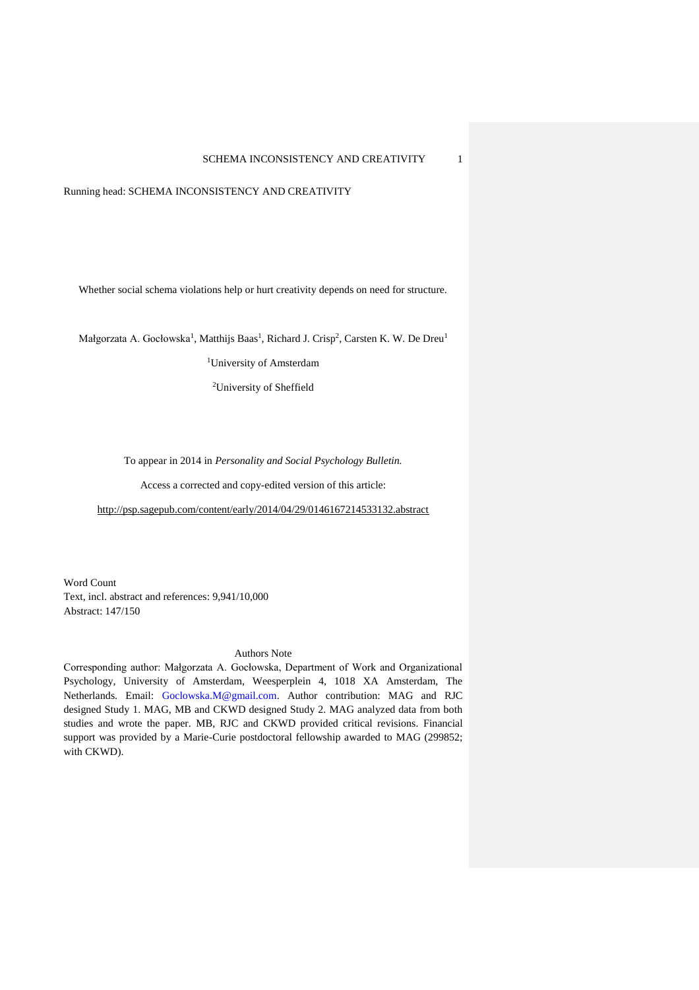Running head: SCHEMA INCONSISTENCY AND CREATIVITY

Whether social schema violations help or hurt creativity depends on need for structure.

Małgorzata A. Gocłowska<sup>1</sup>, Matthijs Baas<sup>1</sup>, Richard J. Crisp<sup>2</sup>, Carsten K. W. De Dreu<sup>1</sup>

<sup>1</sup>University of Amsterdam

<sup>2</sup>University of Sheffield

To appear in 2014 in *Personality and Social Psychology Bulletin.*

Access a corrected and copy-edited version of this article:

<http://psp.sagepub.com/content/early/2014/04/29/0146167214533132.abstract>

Word Count Text, incl. abstract and references: 9,941/10,000 Abstract: 147/150

#### Authors Note

Corresponding author: Małgorzata A. Gocłowska, Department of Work and Organizational Psychology, University of Amsterdam, Weesperplein 4, 1018 XA Amsterdam, The Netherlands. Email: [Goclowska.M@gmail.com.](mailto:Goclowska.M@gmail.com) Author contribution: MAG and RJC designed Study 1. MAG, MB and CKWD designed Study 2. MAG analyzed data from both studies and wrote the paper. MB, RJC and CKWD provided critical revisions. Financial support was provided by a Marie-Curie postdoctoral fellowship awarded to MAG (299852; with CKWD).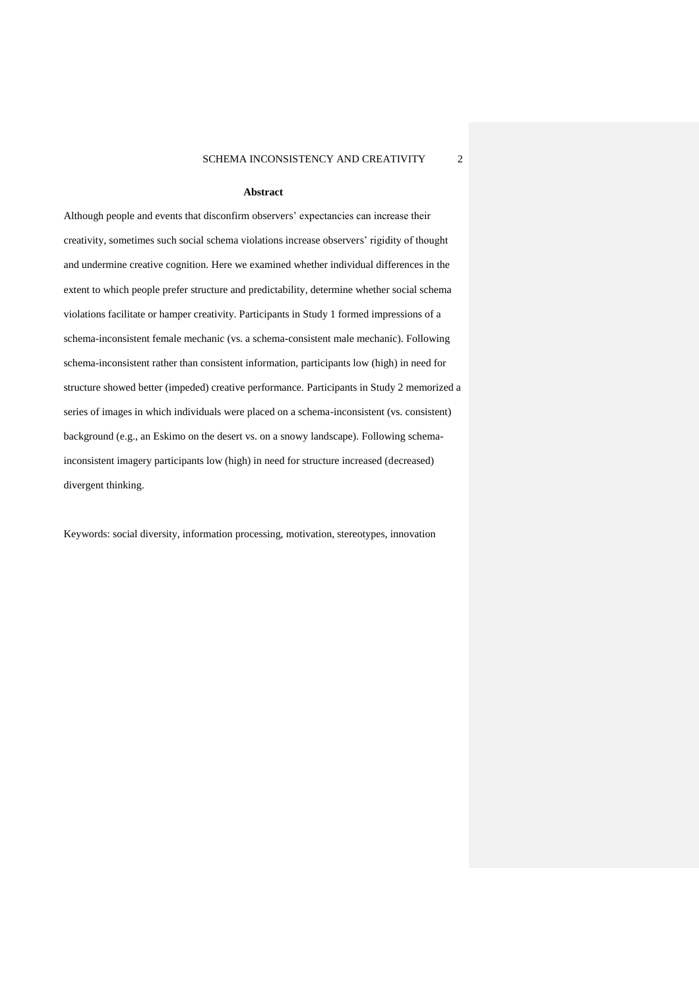#### **Abstract**

Although people and events that disconfirm observers' expectancies can increase their creativity, sometimes such social schema violations increase observers' rigidity of thought and undermine creative cognition. Here we examined whether individual differences in the extent to which people prefer structure and predictability, determine whether social schema violations facilitate or hamper creativity. Participants in Study 1 formed impressions of a schema-inconsistent female mechanic (vs. a schema-consistent male mechanic). Following schema-inconsistent rather than consistent information, participants low (high) in need for structure showed better (impeded) creative performance. Participants in Study 2 memorized a series of images in which individuals were placed on a schema-inconsistent (vs. consistent) background (e.g., an Eskimo on the desert vs. on a snowy landscape). Following schemainconsistent imagery participants low (high) in need for structure increased (decreased) divergent thinking.

Keywords: social diversity, information processing, motivation, stereotypes, innovation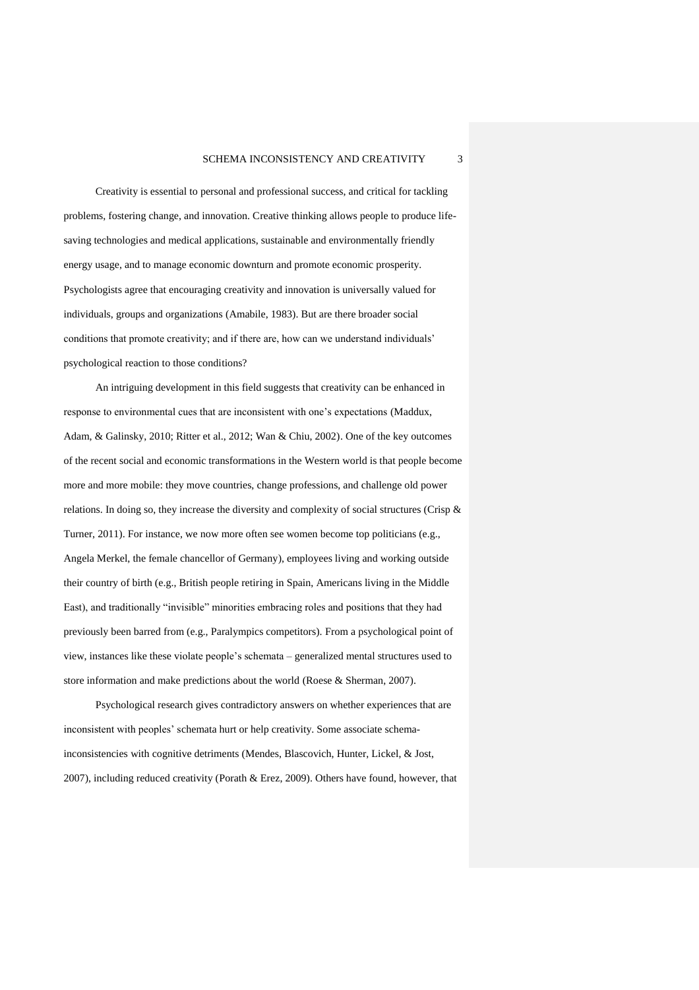Creativity is essential to personal and professional success, and critical for tackling problems, fostering change, and innovation. Creative thinking allows people to produce lifesaving technologies and medical applications, sustainable and environmentally friendly energy usage, and to manage economic downturn and promote economic prosperity. Psychologists agree that encouraging creativity and innovation is universally valued for individuals, groups and organizations (Amabile, 1983). But are there broader social conditions that promote creativity; and if there are, how can we understand individuals' psychological reaction to those conditions?

An intriguing development in this field suggests that creativity can be enhanced in response to environmental cues that are inconsistent with one's expectations (Maddux, Adam, & Galinsky, 2010; Ritter et al., 2012; Wan & Chiu, 2002). One of the key outcomes of the recent social and economic transformations in the Western world is that people become more and more mobile: they move countries, change professions, and challenge old power relations. In doing so, they increase the diversity and complexity of social structures (Crisp & Turner, 2011). For instance, we now more often see women become top politicians (e.g., Angela Merkel, the female chancellor of Germany), employees living and working outside their country of birth (e.g., British people retiring in Spain, Americans living in the Middle East), and traditionally "invisible" minorities embracing roles and positions that they had previously been barred from (e.g., Paralympics competitors). From a psychological point of view, instances like these violate people's schemata – generalized mental structures used to store information and make predictions about the world (Roese & Sherman, 2007).

Psychological research gives contradictory answers on whether experiences that are inconsistent with peoples' schemata hurt or help creativity. Some associate schemainconsistencies with cognitive detriments (Mendes, Blascovich, Hunter, Lickel, & Jost, 2007), including reduced creativity (Porath & Erez, 2009). Others have found, however, that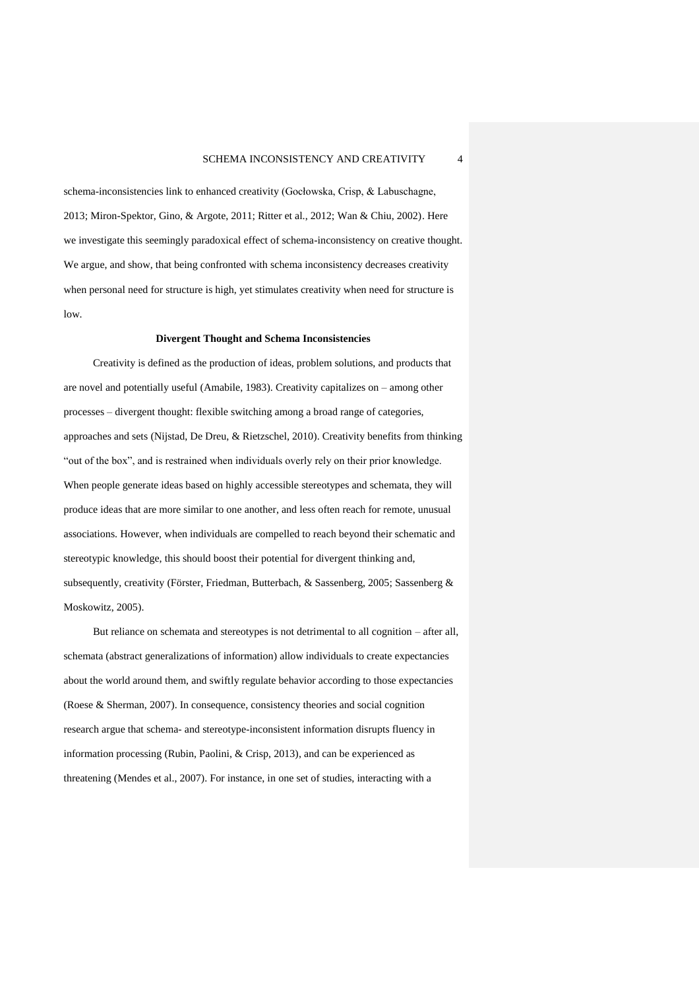schema-inconsistencies link to enhanced creativity (Gocłowska, Crisp, & Labuschagne, 2013; Miron-Spektor, Gino, & Argote, 2011; Ritter et al., 2012; Wan & Chiu, 2002). Here we investigate this seemingly paradoxical effect of schema-inconsistency on creative thought. We argue, and show, that being confronted with schema inconsistency decreases creativity when personal need for structure is high, yet stimulates creativity when need for structure is low.

#### **Divergent Thought and Schema Inconsistencies**

Creativity is defined as the production of ideas, problem solutions, and products that are novel and potentially useful (Amabile, 1983). Creativity capitalizes on – among other processes – divergent thought: flexible switching among a broad range of categories, approaches and sets (Nijstad, De Dreu, & Rietzschel, 2010). Creativity benefits from thinking "out of the box", and is restrained when individuals overly rely on their prior knowledge. When people generate ideas based on highly accessible stereotypes and schemata, they will produce ideas that are more similar to one another, and less often reach for remote, unusual associations. However, when individuals are compelled to reach beyond their schematic and stereotypic knowledge, this should boost their potential for divergent thinking and, subsequently, creativity (Förster, Friedman, Butterbach, & Sassenberg, 2005; Sassenberg & Moskowitz, 2005).

But reliance on schemata and stereotypes is not detrimental to all cognition – after all, schemata (abstract generalizations of information) allow individuals to create expectancies about the world around them, and swiftly regulate behavior according to those expectancies (Roese & Sherman, 2007). In consequence, consistency theories and social cognition research argue that schema- and stereotype-inconsistent information disrupts fluency in information processing (Rubin, Paolini, & Crisp, 2013), and can be experienced as threatening (Mendes et al., 2007). For instance, in one set of studies, interacting with a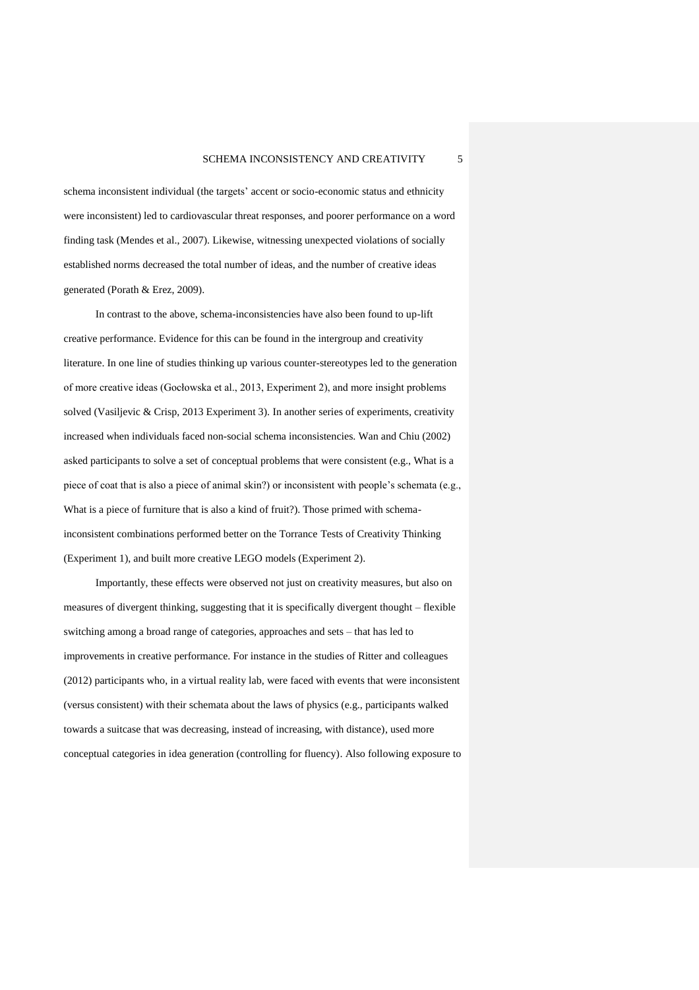schema inconsistent individual (the targets' accent or socio-economic status and ethnicity were inconsistent) led to cardiovascular threat responses, and poorer performance on a word finding task (Mendes et al., 2007). Likewise, witnessing unexpected violations of socially established norms decreased the total number of ideas, and the number of creative ideas generated (Porath & Erez, 2009).

In contrast to the above, schema-inconsistencies have also been found to up-lift creative performance. Evidence for this can be found in the intergroup and creativity literature. In one line of studies thinking up various counter-stereotypes led to the generation of more creative ideas (Gocłowska et al., 2013, Experiment 2), and more insight problems solved (Vasiljevic & Crisp, 2013 Experiment 3). In another series of experiments, creativity increased when individuals faced non-social schema inconsistencies. Wan and Chiu (2002) asked participants to solve a set of conceptual problems that were consistent (e.g., What is a piece of coat that is also a piece of animal skin?) or inconsistent with people's schemata (e.g., What is a piece of furniture that is also a kind of fruit?). Those primed with schemainconsistent combinations performed better on the Torrance Tests of Creativity Thinking (Experiment 1), and built more creative LEGO models (Experiment 2).

Importantly, these effects were observed not just on creativity measures, but also on measures of divergent thinking, suggesting that it is specifically divergent thought – flexible switching among a broad range of categories, approaches and sets – that has led to improvements in creative performance. For instance in the studies of Ritter and colleagues (2012) participants who, in a virtual reality lab, were faced with events that were inconsistent (versus consistent) with their schemata about the laws of physics (e.g., participants walked towards a suitcase that was decreasing, instead of increasing, with distance), used more conceptual categories in idea generation (controlling for fluency). Also following exposure to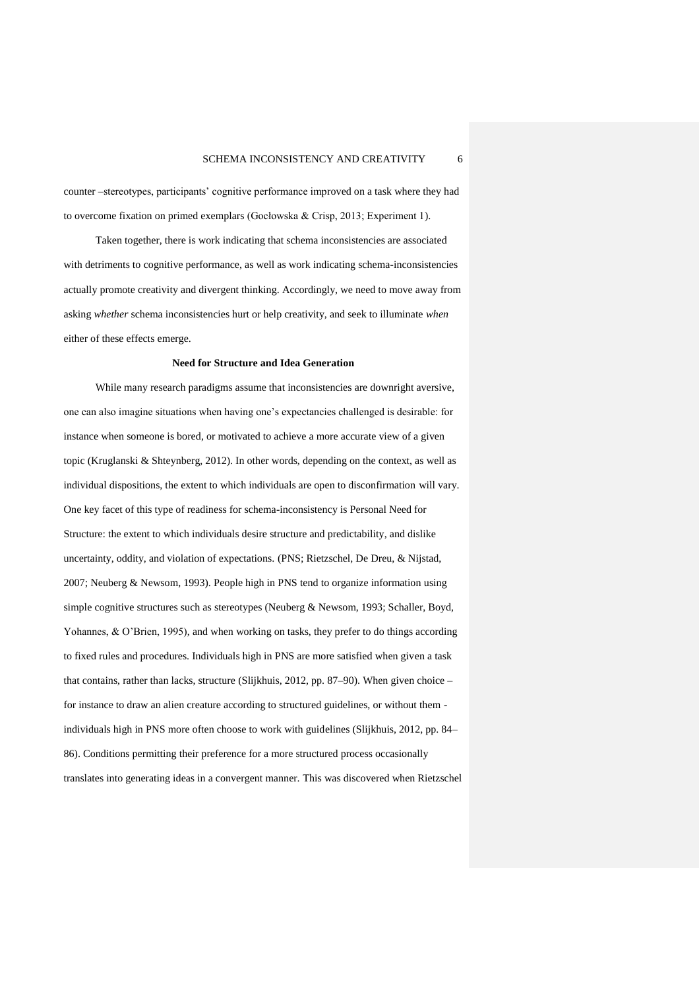counter –stereotypes, participants' cognitive performance improved on a task where they had to overcome fixation on primed exemplars (Gocłowska & Crisp, 2013; Experiment 1).

Taken together, there is work indicating that schema inconsistencies are associated with detriments to cognitive performance, as well as work indicating schema-inconsistencies actually promote creativity and divergent thinking. Accordingly, we need to move away from asking *whether* schema inconsistencies hurt or help creativity, and seek to illuminate *when* either of these effects emerge.

#### **Need for Structure and Idea Generation**

While many research paradigms assume that inconsistencies are downright aversive, one can also imagine situations when having one's expectancies challenged is desirable: for instance when someone is bored, or motivated to achieve a more accurate view of a given topic (Kruglanski & Shteynberg, 2012). In other words, depending on the context, as well as individual dispositions, the extent to which individuals are open to disconfirmation will vary. One key facet of this type of readiness for schema-inconsistency is Personal Need for Structure: the extent to which individuals desire structure and predictability, and dislike uncertainty, oddity, and violation of expectations. (PNS; Rietzschel, De Dreu, & Nijstad, 2007; Neuberg & Newsom, 1993). People high in PNS tend to organize information using simple cognitive structures such as stereotypes (Neuberg & Newsom, 1993; Schaller, Boyd, Yohannes, & O'Brien, 1995), and when working on tasks, they prefer to do things according to fixed rules and procedures. Individuals high in PNS are more satisfied when given a task that contains, rather than lacks, structure (Slijkhuis, 2012, pp. 87–90). When given choice – for instance to draw an alien creature according to structured guidelines, or without them individuals high in PNS more often choose to work with guidelines (Slijkhuis, 2012, pp. 84– 86). Conditions permitting their preference for a more structured process occasionally translates into generating ideas in a convergent manner. This was discovered when Rietzschel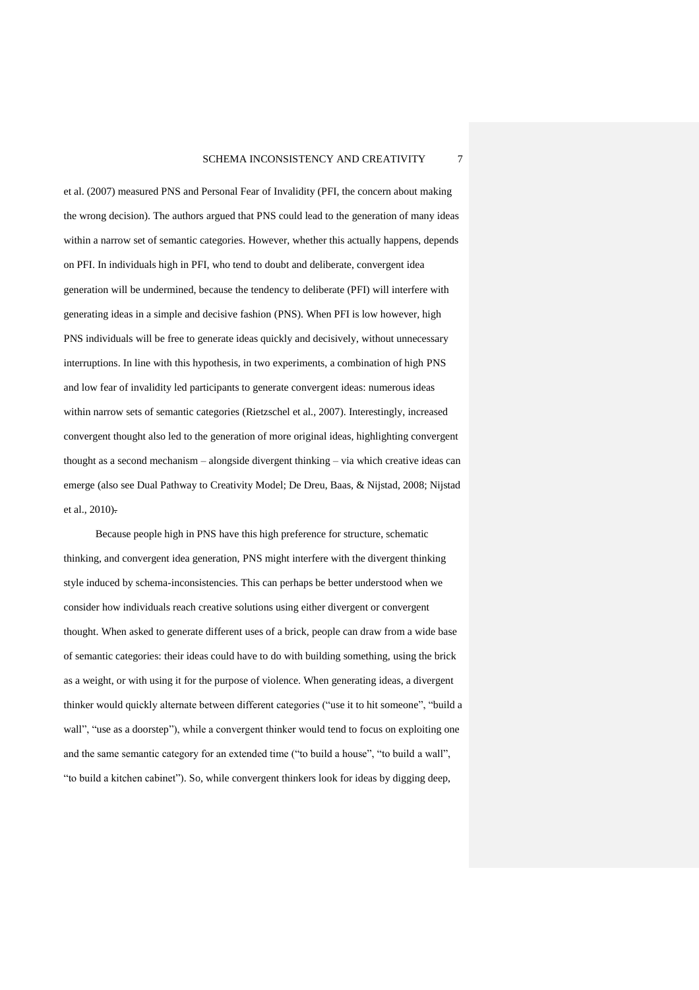et al. (2007) measured PNS and Personal Fear of Invalidity (PFI, the concern about making the wrong decision). The authors argued that PNS could lead to the generation of many ideas within a narrow set of semantic categories. However, whether this actually happens, depends on PFI. In individuals high in PFI, who tend to doubt and deliberate, convergent idea generation will be undermined, because the tendency to deliberate (PFI) will interfere with generating ideas in a simple and decisive fashion (PNS). When PFI is low however, high PNS individuals will be free to generate ideas quickly and decisively, without unnecessary interruptions. In line with this hypothesis, in two experiments, a combination of high PNS and low fear of invalidity led participants to generate convergent ideas: numerous ideas within narrow sets of semantic categories (Rietzschel et al., 2007). Interestingly, increased convergent thought also led to the generation of more original ideas, highlighting convergent thought as a second mechanism – alongside divergent thinking – via which creative ideas can emerge (also see Dual Pathway to Creativity Model; De Dreu, Baas, & Nijstad, 2008; Nijstad et al., 2010).

Because people high in PNS have this high preference for structure, schematic thinking, and convergent idea generation, PNS might interfere with the divergent thinking style induced by schema-inconsistencies. This can perhaps be better understood when we consider how individuals reach creative solutions using either divergent or convergent thought. When asked to generate different uses of a brick, people can draw from a wide base of semantic categories: their ideas could have to do with building something, using the brick as a weight, or with using it for the purpose of violence. When generating ideas, a divergent thinker would quickly alternate between different categories ("use it to hit someone", "build a wall", "use as a doorstep"), while a convergent thinker would tend to focus on exploiting one and the same semantic category for an extended time ("to build a house", "to build a wall", "to build a kitchen cabinet"). So, while convergent thinkers look for ideas by digging deep,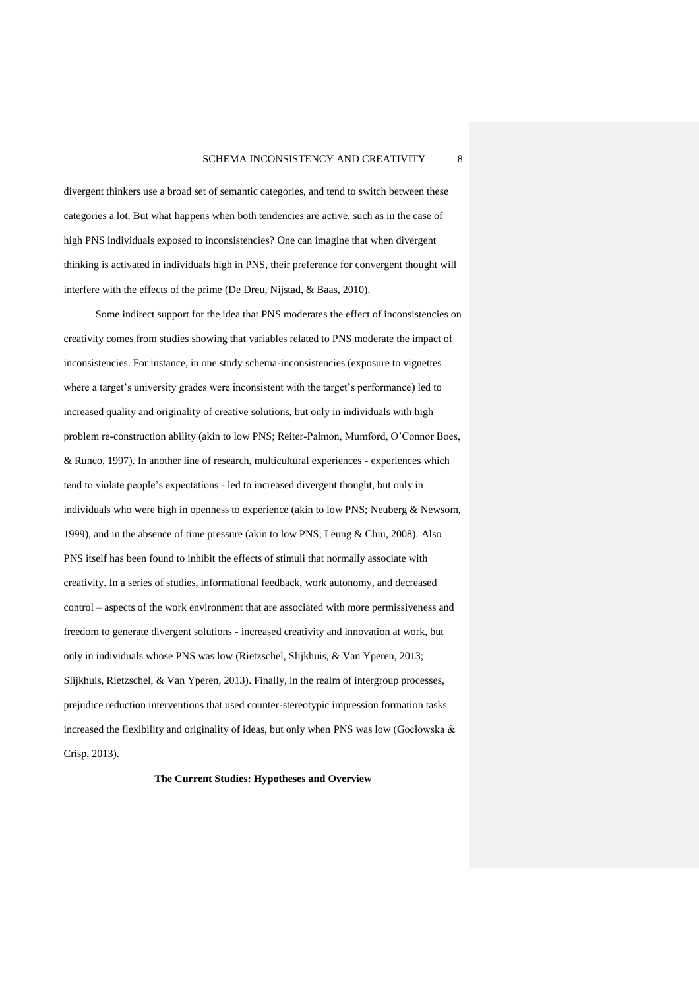divergent thinkers use a broad set of semantic categories, and tend to switch between these categories a lot. But what happens when both tendencies are active, such as in the case of high PNS individuals exposed to inconsistencies? One can imagine that when divergent thinking is activated in individuals high in PNS, their preference for convergent thought will interfere with the effects of the prime (De Dreu, Nijstad, & Baas, 2010).

Some indirect support for the idea that PNS moderates the effect of inconsistencies on creativity comes from studies showing that variables related to PNS moderate the impact of inconsistencies. For instance, in one study schema-inconsistencies (exposure to vignettes where a target's university grades were inconsistent with the target's performance) led to increased quality and originality of creative solutions, but only in individuals with high problem re-construction ability (akin to low PNS; Reiter-Palmon, Mumford, O'Connor Boes, & Runco, 1997). In another line of research, multicultural experiences - experiences which tend to violate people's expectations - led to increased divergent thought, but only in individuals who were high in openness to experience (akin to low PNS; Neuberg & Newsom, 1999), and in the absence of time pressure (akin to low PNS; Leung & Chiu, 2008). Also PNS itself has been found to inhibit the effects of stimuli that normally associate with creativity. In a series of studies, informational feedback, work autonomy, and decreased control – aspects of the work environment that are associated with more permissiveness and freedom to generate divergent solutions - increased creativity and innovation at work, but only in individuals whose PNS was low (Rietzschel, Slijkhuis, & Van Yperen, 2013; Slijkhuis, Rietzschel, & Van Yperen, 2013). Finally, in the realm of intergroup processes, prejudice reduction interventions that used counter-stereotypic impression formation tasks increased the flexibility and originality of ideas, but only when PNS was low (Gocłowska  $\&$ Crisp, 2013).

**The Current Studies: Hypotheses and Overview**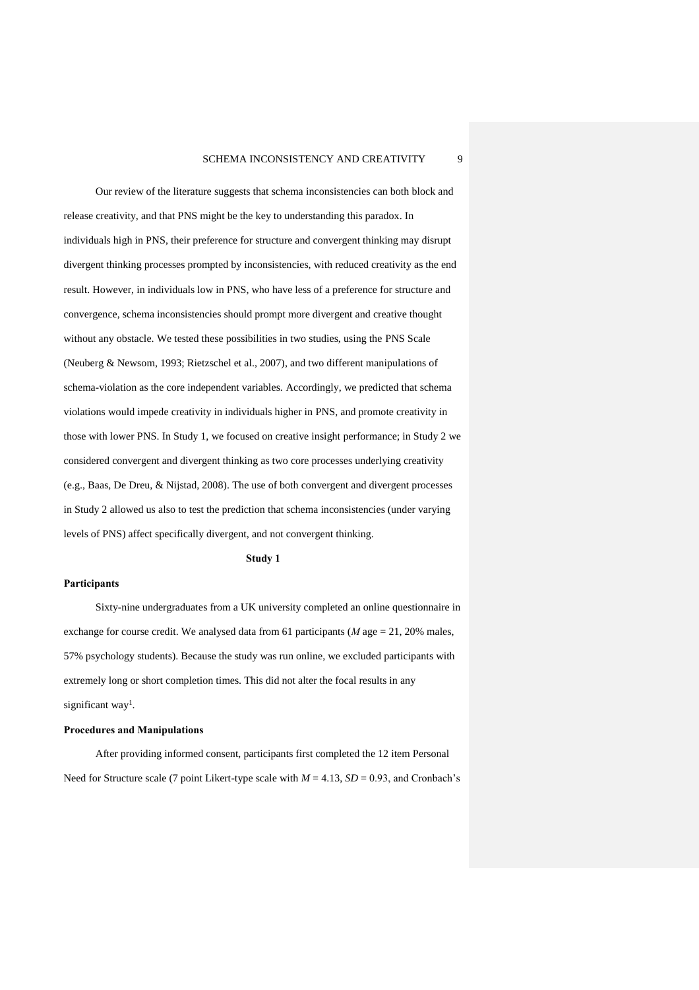Our review of the literature suggests that schema inconsistencies can both block and release creativity, and that PNS might be the key to understanding this paradox. In individuals high in PNS, their preference for structure and convergent thinking may disrupt divergent thinking processes prompted by inconsistencies, with reduced creativity as the end result. However, in individuals low in PNS, who have less of a preference for structure and convergence, schema inconsistencies should prompt more divergent and creative thought without any obstacle. We tested these possibilities in two studies, using the PNS Scale (Neuberg & Newsom, 1993; Rietzschel et al., 2007), and two different manipulations of schema-violation as the core independent variables. Accordingly, we predicted that schema violations would impede creativity in individuals higher in PNS, and promote creativity in those with lower PNS. In Study 1, we focused on creative insight performance; in Study 2 we considered convergent and divergent thinking as two core processes underlying creativity (e.g., Baas, De Dreu, & Nijstad, 2008). The use of both convergent and divergent processes in Study 2 allowed us also to test the prediction that schema inconsistencies (under varying levels of PNS) affect specifically divergent, and not convergent thinking.

#### **Study 1**

## **Participants**

Sixty-nine undergraduates from a UK university completed an online questionnaire in exchange for course credit. We analysed data from 61 participants (*M* age = 21, 20% males, 57% psychology students). Because the study was run online, we excluded participants with extremely long or short completion times. This did not alter the focal results in any significant way<sup>1</sup>.

#### **Procedures and Manipulations**

After providing informed consent, participants first completed the 12 item Personal Need for Structure scale (7 point Likert-type scale with  $M = 4.13$ ,  $SD = 0.93$ , and Cronbach's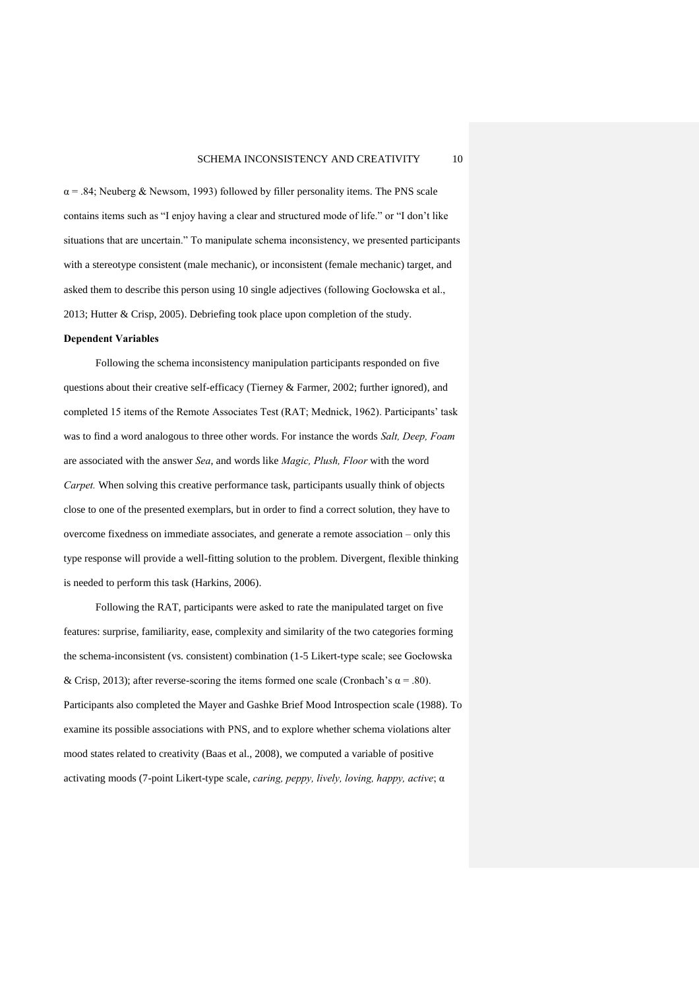$\alpha$  = .84; Neuberg & Newsom, 1993) followed by filler personality items. The PNS scale contains items such as "I enjoy having a clear and structured mode of life." or "I don't like situations that are uncertain." To manipulate schema inconsistency, we presented participants with a stereotype consistent (male mechanic), or inconsistent (female mechanic) target, and asked them to describe this person using 10 single adjectives (following Gocłowska et al., 2013; Hutter & Crisp, 2005). Debriefing took place upon completion of the study.

#### **Dependent Variables**

Following the schema inconsistency manipulation participants responded on five questions about their creative self-efficacy (Tierney & Farmer, 2002; further ignored), and completed 15 items of the Remote Associates Test (RAT; Mednick, 1962). Participants' task was to find a word analogous to three other words. For instance the words *Salt, Deep, Foam* are associated with the answer *Sea*, and words like *Magic, Plush, Floor* with the word *Carpet.* When solving this creative performance task, participants usually think of objects close to one of the presented exemplars, but in order to find a correct solution, they have to overcome fixedness on immediate associates, and generate a remote association – only this type response will provide a well-fitting solution to the problem. Divergent, flexible thinking is needed to perform this task (Harkins, 2006).

Following the RAT, participants were asked to rate the manipulated target on five features: surprise, familiarity, ease, complexity and similarity of the two categories forming the schema-inconsistent (vs. consistent) combination (1-5 Likert-type scale; see Gocłowska & Crisp, 2013); after reverse-scoring the items formed one scale (Cronbach's  $\alpha$  = .80). Participants also completed the Mayer and Gashke Brief Mood Introspection scale (1988). To examine its possible associations with PNS, and to explore whether schema violations alter mood states related to creativity (Baas et al., 2008), we computed a variable of positive activating moods (7-point Likert-type scale, *caring, peppy, lively, loving, happy, active*; α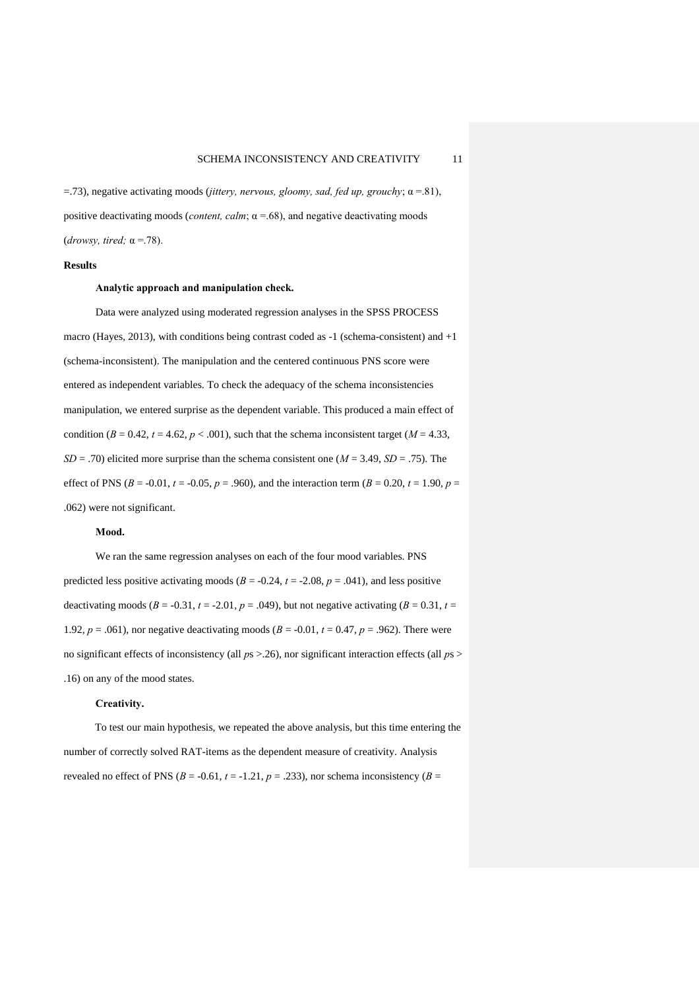=.73), negative activating moods (*jittery, nervous, gloomy, sad, fed up, grouchy*; α =.81), positive deactivating moods (*content, calm*;  $\alpha$  =.68), and negative deactivating moods (*drowsy, tired;* α =.78).

## **Results**

### **Analytic approach and manipulation check.**

Data were analyzed using moderated regression analyses in the SPSS PROCESS macro (Hayes, 2013), with conditions being contrast coded as -1 (schema-consistent) and +1 (schema-inconsistent). The manipulation and the centered continuous PNS score were entered as independent variables. To check the adequacy of the schema inconsistencies manipulation, we entered surprise as the dependent variable. This produced a main effect of condition ( $B = 0.42$ ,  $t = 4.62$ ,  $p < .001$ ), such that the schema inconsistent target ( $M = 4.33$ ,  $SD = .70$ ) elicited more surprise than the schema consistent one ( $M = 3.49$ ,  $SD = .75$ ). The effect of PNS ( $B = -0.01$ ,  $t = -0.05$ ,  $p = .960$ ), and the interaction term ( $B = 0.20$ ,  $t = 1.90$ ,  $p =$ .062) were not significant.

## **Mood.**

We ran the same regression analyses on each of the four mood variables. PNS predicted less positive activating moods ( $B = -0.24$ ,  $t = -2.08$ ,  $p = .041$ ), and less positive deactivating moods ( $B = -0.31$ ,  $t = -2.01$ ,  $p = .049$ ), but not negative activating ( $B = 0.31$ ,  $t =$ 1.92,  $p = .061$ ), nor negative deactivating moods ( $B = -0.01$ ,  $t = 0.47$ ,  $p = .962$ ). There were no significant effects of inconsistency (all *p*s >.26), nor significant interaction effects (all *p*s > .16) on any of the mood states.

## **Creativity.**

To test our main hypothesis, we repeated the above analysis, but this time entering the number of correctly solved RAT-items as the dependent measure of creativity. Analysis revealed no effect of PNS ( $B = -0.61$ ,  $t = -1.21$ ,  $p = .233$ ), nor schema inconsistency ( $B =$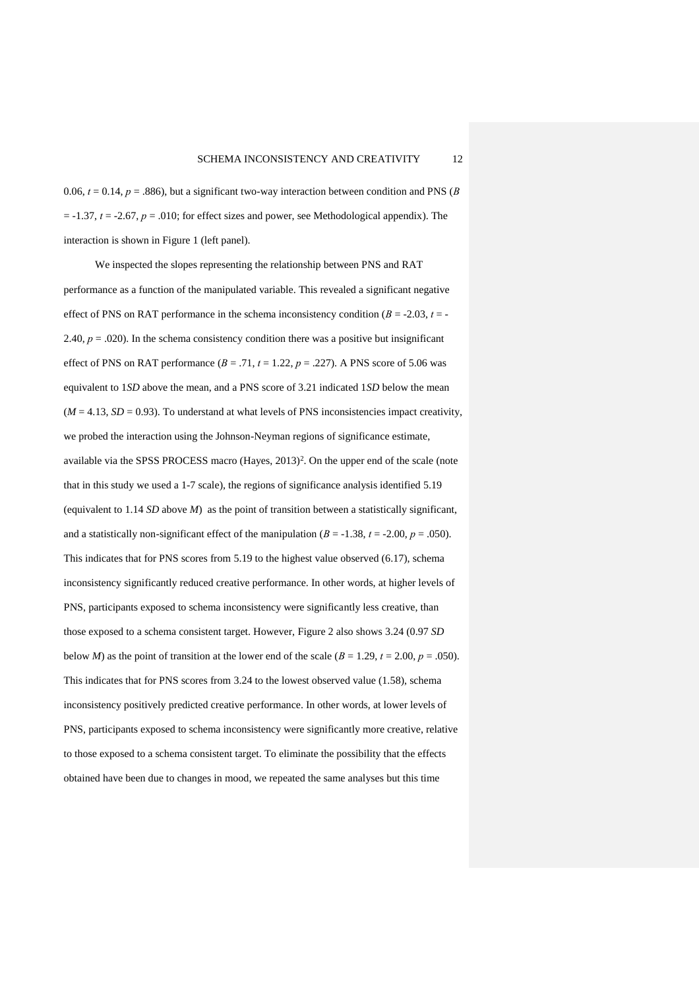0.06,  $t = 0.14$ ,  $p = .886$ ), but a significant two-way interaction between condition and PNS (*B*)  $t = -1.37$ ,  $t = -2.67$ ,  $p = .010$ ; for effect sizes and power, see Methodological appendix). The interaction is shown in Figure 1 (left panel).

We inspected the slopes representing the relationship between PNS and RAT performance as a function of the manipulated variable. This revealed a significant negative effect of PNS on RAT performance in the schema inconsistency condition  $(B = -2.03, t = -1.05)$ 2.40,  $p = 0.020$ ). In the schema consistency condition there was a positive but insignificant effect of PNS on RAT performance  $(B = .71, t = 1.22, p = .227)$ . A PNS score of 5.06 was equivalent to 1*SD* above the mean, and a PNS score of 3.21 indicated 1*SD* below the mean  $(M = 4.13, SD = 0.93)$ . To understand at what levels of PNS inconsistencies impact creativity, we probed the interaction using the Johnson-Neyman regions of significance estimate, available via the SPSS PROCESS macro (Hayes, 2013)<sup>2</sup>. On the upper end of the scale (note that in this study we used a 1-7 scale), the regions of significance analysis identified 5.19 (equivalent to 1.14 *SD* above *M*) as the point of transition between a statistically significant, and a statistically non-significant effect of the manipulation ( $B = -1.38$ ,  $t = -2.00$ ,  $p = .050$ ). This indicates that for PNS scores from 5.19 to the highest value observed (6.17), schema inconsistency significantly reduced creative performance. In other words, at higher levels of PNS, participants exposed to schema inconsistency were significantly less creative, than those exposed to a schema consistent target. However, Figure 2 also shows 3.24 (0.97 *SD* below *M*) as the point of transition at the lower end of the scale ( $B = 1.29$ ,  $t = 2.00$ ,  $p = .050$ ). This indicates that for PNS scores from 3.24 to the lowest observed value (1.58), schema inconsistency positively predicted creative performance. In other words, at lower levels of PNS, participants exposed to schema inconsistency were significantly more creative, relative to those exposed to a schema consistent target. To eliminate the possibility that the effects obtained have been due to changes in mood, we repeated the same analyses but this time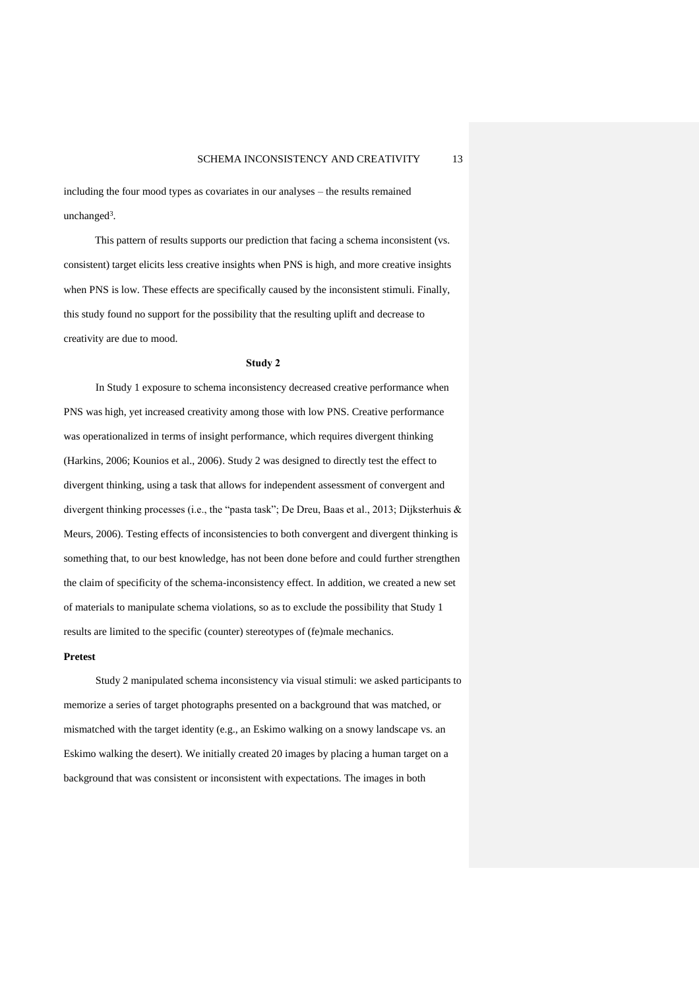including the four mood types as covariates in our analyses – the results remained unchanged<sup>3</sup>.

This pattern of results supports our prediction that facing a schema inconsistent (vs. consistent) target elicits less creative insights when PNS is high, and more creative insights when PNS is low. These effects are specifically caused by the inconsistent stimuli. Finally, this study found no support for the possibility that the resulting uplift and decrease to creativity are due to mood.

#### **Study 2**

In Study 1 exposure to schema inconsistency decreased creative performance when PNS was high, yet increased creativity among those with low PNS. Creative performance was operationalized in terms of insight performance, which requires divergent thinking (Harkins, 2006; Kounios et al., 2006). Study 2 was designed to directly test the effect to divergent thinking, using a task that allows for independent assessment of convergent and divergent thinking processes (i.e., the "pasta task"; De Dreu, Baas et al., 2013; Dijksterhuis & Meurs, 2006). Testing effects of inconsistencies to both convergent and divergent thinking is something that, to our best knowledge, has not been done before and could further strengthen the claim of specificity of the schema-inconsistency effect. In addition, we created a new set of materials to manipulate schema violations, so as to exclude the possibility that Study 1 results are limited to the specific (counter) stereotypes of (fe)male mechanics.

#### **Pretest**

Study 2 manipulated schema inconsistency via visual stimuli: we asked participants to memorize a series of target photographs presented on a background that was matched, or mismatched with the target identity (e.g., an Eskimo walking on a snowy landscape vs. an Eskimo walking the desert). We initially created 20 images by placing a human target on a background that was consistent or inconsistent with expectations. The images in both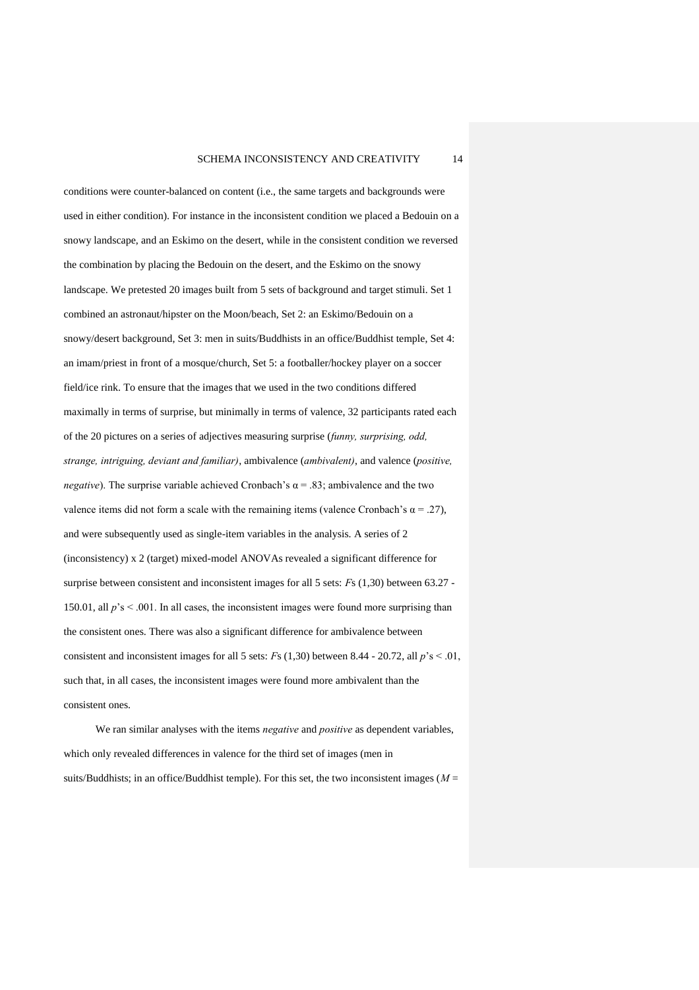conditions were counter-balanced on content (i.e., the same targets and backgrounds were used in either condition). For instance in the inconsistent condition we placed a Bedouin on a snowy landscape, and an Eskimo on the desert, while in the consistent condition we reversed the combination by placing the Bedouin on the desert, and the Eskimo on the snowy landscape. We pretested 20 images built from 5 sets of background and target stimuli. Set 1 combined an astronaut/hipster on the Moon/beach, Set 2: an Eskimo/Bedouin on a snowy/desert background, Set 3: men in suits/Buddhists in an office/Buddhist temple, Set 4: an imam/priest in front of a mosque/church, Set 5: a footballer/hockey player on a soccer field/ice rink. To ensure that the images that we used in the two conditions differed maximally in terms of surprise, but minimally in terms of valence, 32 participants rated each of the 20 pictures on a series of adjectives measuring surprise (*funny, surprising, odd, strange, intriguing, deviant and familiar)*, ambivalence (*ambivalent)*, and valence (*positive, negative*). The surprise variable achieved Cronbach's  $\alpha$  = .83; ambivalence and the two valence items did not form a scale with the remaining items (valence Cronbach's  $\alpha = .27$ ), and were subsequently used as single-item variables in the analysis. A series of 2 (inconsistency) x 2 (target) mixed-model ANOVAs revealed a significant difference for surprise between consistent and inconsistent images for all 5 sets: *F*s (1,30) between 63.27 - 150.01, all *p*'s < .001. In all cases, the inconsistent images were found more surprising than the consistent ones. There was also a significant difference for ambivalence between consistent and inconsistent images for all 5 sets: *Fs* (1,30) between 8.44 - 20.72, all  $p$ 's < .01, such that, in all cases, the inconsistent images were found more ambivalent than the consistent ones.

We ran similar analyses with the items *negative* and *positive* as dependent variables, which only revealed differences in valence for the third set of images (men in suits/Buddhists; in an office/Buddhist temple). For this set, the two inconsistent images (*M* =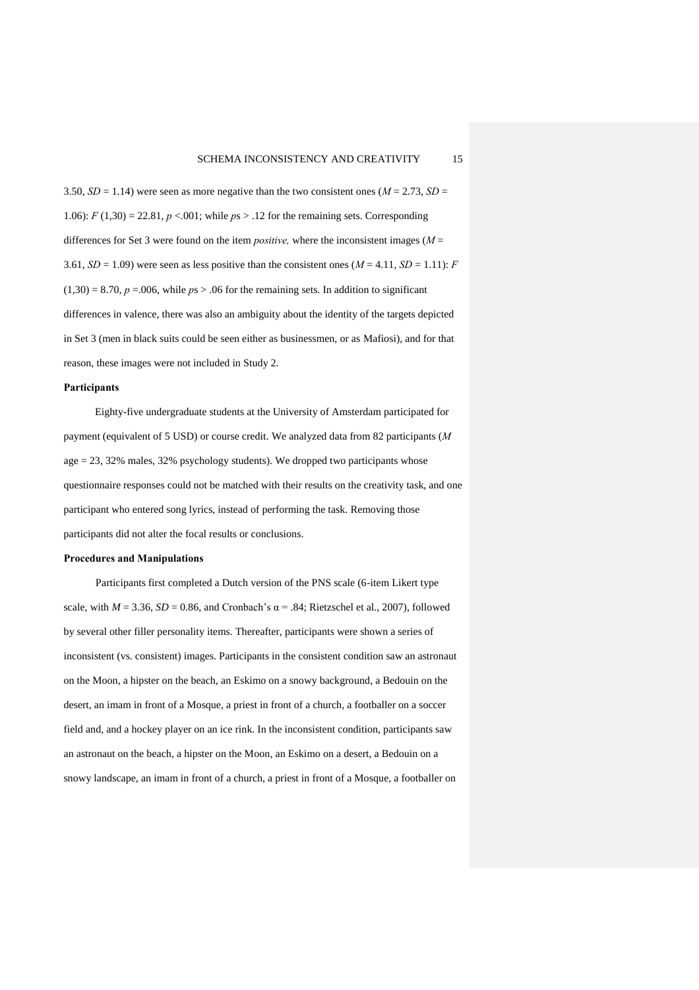3.50,  $SD = 1.14$ ) were seen as more negative than the two consistent ones ( $M = 2.73$ ,  $SD =$ 1.06): *F* (1,30) = 22.81, *p* <.001; while *p*s > .12 for the remaining sets. Corresponding differences for Set 3 were found on the item *positive,* where the inconsistent images (*M* = 3.61,  $SD = 1.09$ ) were seen as less positive than the consistent ones  $(M = 4.11, SD = 1.11)$ : *F*  $(1,30) = 8.70$ ,  $p = .006$ , while  $ps > .06$  for the remaining sets. In addition to significant differences in valence, there was also an ambiguity about the identity of the targets depicted in Set 3 (men in black suits could be seen either as businessmen, or as Mafiosi), and for that reason, these images were not included in Study 2.

#### **Participants**

Eighty-five undergraduate students at the University of Amsterdam participated for payment (equivalent of 5 USD) or course credit. We analyzed data from 82 participants (*M* age = 23, 32% males, 32% psychology students). We dropped two participants whose questionnaire responses could not be matched with their results on the creativity task, and one participant who entered song lyrics, instead of performing the task. Removing those participants did not alter the focal results or conclusions.

## **Procedures and Manipulations**

Participants first completed a Dutch version of the PNS scale (6-item Likert type scale, with  $M = 3.36$ ,  $SD = 0.86$ , and Cronbach's  $\alpha = .84$ ; Rietzschel et al., 2007), followed by several other filler personality items. Thereafter, participants were shown a series of inconsistent (vs. consistent) images. Participants in the consistent condition saw an astronaut on the Moon, a hipster on the beach, an Eskimo on a snowy background, a Bedouin on the desert, an imam in front of a Mosque, a priest in front of a church, a footballer on a soccer field and, and a hockey player on an ice rink. In the inconsistent condition, participants saw an astronaut on the beach, a hipster on the Moon, an Eskimo on a desert, a Bedouin on a snowy landscape, an imam in front of a church, a priest in front of a Mosque, a footballer on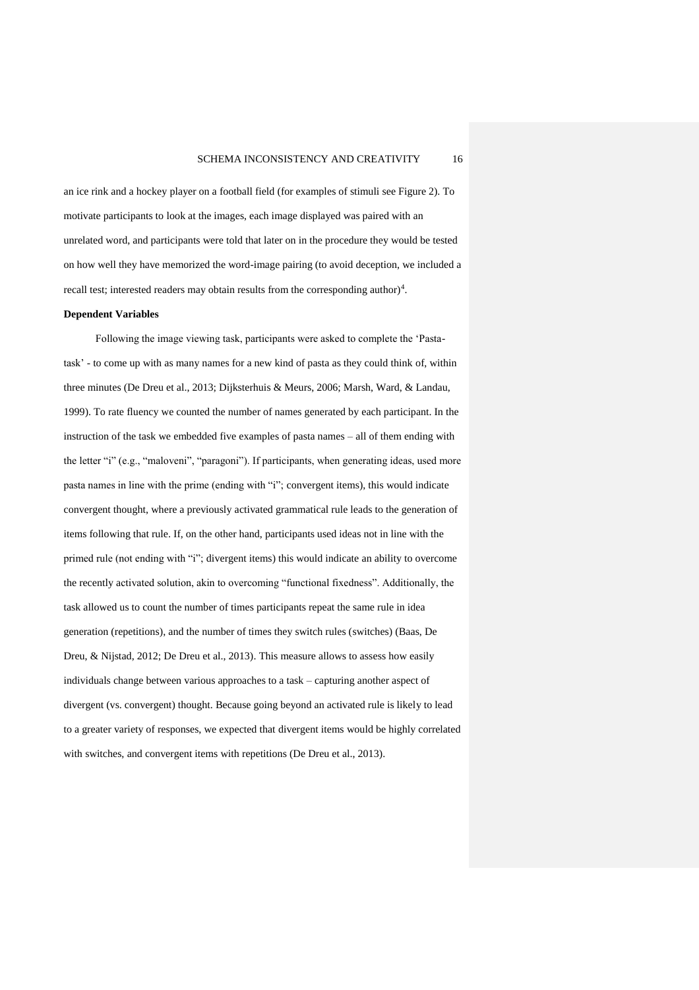an ice rink and a hockey player on a football field (for examples of stimuli see Figure 2). To motivate participants to look at the images, each image displayed was paired with an unrelated word, and participants were told that later on in the procedure they would be tested on how well they have memorized the word-image pairing (to avoid deception, we included a recall test; interested readers may obtain results from the corresponding author)<sup>4</sup>.

#### **Dependent Variables**

Following the image viewing task, participants were asked to complete the 'Pastatask' - to come up with as many names for a new kind of pasta as they could think of, within three minutes (De Dreu et al., 2013; Dijksterhuis & Meurs, 2006; Marsh, Ward, & Landau, 1999). To rate fluency we counted the number of names generated by each participant. In the instruction of the task we embedded five examples of pasta names – all of them ending with the letter "i" (e.g., "maloveni", "paragoni"). If participants, when generating ideas, used more pasta names in line with the prime (ending with "i"; convergent items), this would indicate convergent thought, where a previously activated grammatical rule leads to the generation of items following that rule. If, on the other hand, participants used ideas not in line with the primed rule (not ending with "i"; divergent items) this would indicate an ability to overcome the recently activated solution, akin to overcoming "functional fixedness". Additionally, the task allowed us to count the number of times participants repeat the same rule in idea generation (repetitions), and the number of times they switch rules (switches) (Baas, De Dreu, & Nijstad, 2012; De Dreu et al., 2013). This measure allows to assess how easily individuals change between various approaches to a task – capturing another aspect of divergent (vs. convergent) thought. Because going beyond an activated rule is likely to lead to a greater variety of responses, we expected that divergent items would be highly correlated with switches, and convergent items with repetitions (De Dreu et al., 2013).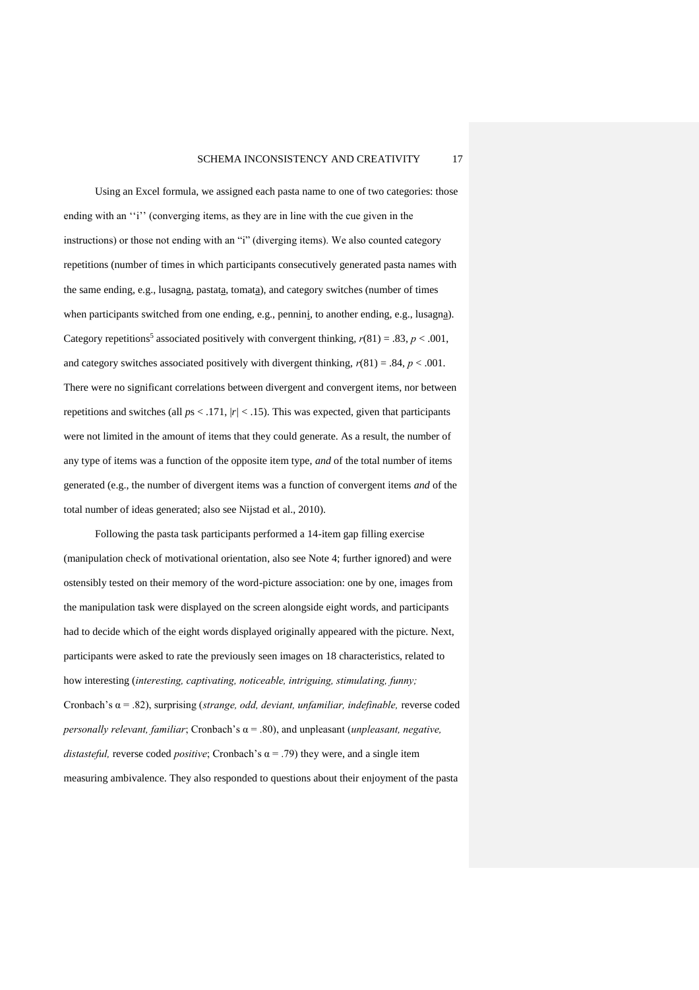Using an Excel formula, we assigned each pasta name to one of two categories: those ending with an "i" (converging items, as they are in line with the cue given in the instructions) or those not ending with an "i" (diverging items). We also counted category repetitions (number of times in which participants consecutively generated pasta names with the same ending, e.g., lusagna, pastata, tomata), and category switches (number of times when participants switched from one ending, e.g., pennini, to another ending, e.g., lusagna). Category repetitions<sup>5</sup> associated positively with convergent thinking,  $r(81) = .83$ ,  $p < .001$ , and category switches associated positively with divergent thinking, *r*(81) = .84, *p* < .001. There were no significant correlations between divergent and convergent items, nor between repetitions and switches (all  $ps < .171$ ,  $|r| < .15$ ). This was expected, given that participants were not limited in the amount of items that they could generate. As a result, the number of any type of items was a function of the opposite item type, *and* of the total number of items generated (e.g., the number of divergent items was a function of convergent items *and* of the total number of ideas generated; also see Nijstad et al., 2010).

Following the pasta task participants performed a 14-item gap filling exercise (manipulation check of motivational orientation, also see Note 4; further ignored) and were ostensibly tested on their memory of the word-picture association: one by one, images from the manipulation task were displayed on the screen alongside eight words, and participants had to decide which of the eight words displayed originally appeared with the picture. Next, participants were asked to rate the previously seen images on 18 characteristics, related to how interesting (*interesting, captivating, noticeable, intriguing, stimulating, funny;* Cronbach's α = .82), surprising (*strange, odd, deviant, unfamiliar, indefinable,* reverse coded *personally relevant, familiar*; Cronbach's α = .80), and unpleasant (*unpleasant, negative, distasteful, reverse coded <i>positive*; Cronbach's  $\alpha$  = .79) they were, and a single item measuring ambivalence. They also responded to questions about their enjoyment of the pasta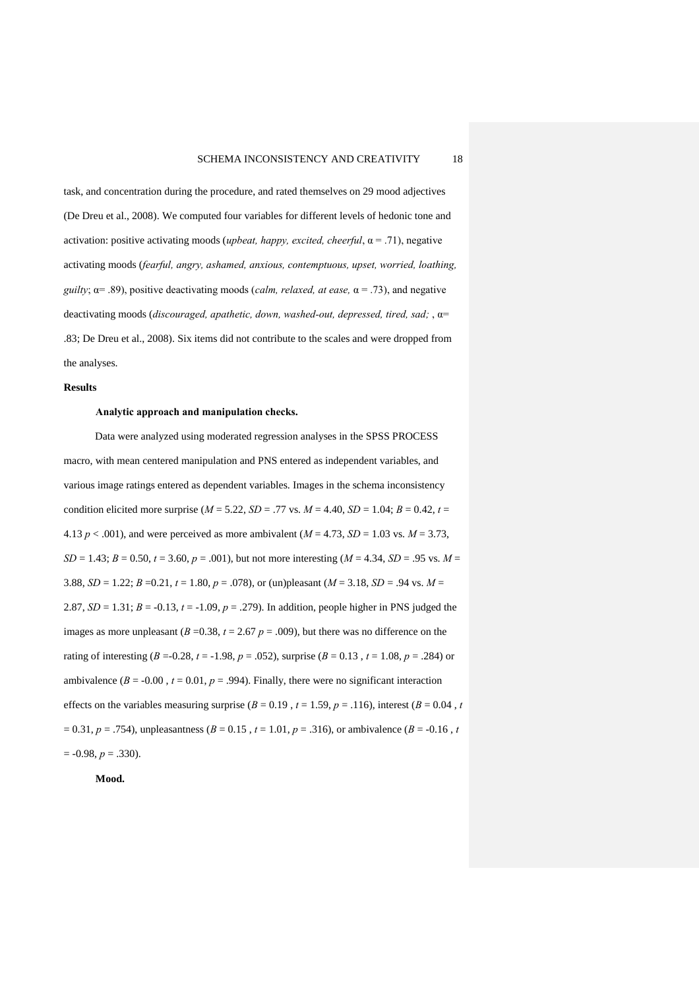task, and concentration during the procedure, and rated themselves on 29 mood adjectives (De Dreu et al., 2008). We computed four variables for different levels of hedonic tone and activation: positive activating moods (*upbeat, happy, excited, cheerful*,  $\alpha = .71$ ), negative activating moods (*fearful, angry, ashamed, anxious, contemptuous, upset, worried, loathing, guilty*; α= .89), positive deactivating moods (*calm, relaxed, at ease,* α = .73), and negative deactivating moods (*discouraged, apathetic, down, washed-out, depressed, tired, sad;* , α= .83; De Dreu et al., 2008). Six items did not contribute to the scales and were dropped from the analyses.

#### **Results**

#### **Analytic approach and manipulation checks.**

Data were analyzed using moderated regression analyses in the SPSS PROCESS macro, with mean centered manipulation and PNS entered as independent variables, and various image ratings entered as dependent variables. Images in the schema inconsistency condition elicited more surprise ( $M = 5.22$ ,  $SD = .77$  vs.  $M = 4.40$ ,  $SD = 1.04$ ;  $B = 0.42$ ,  $t =$ 4.13  $p < .001$ ), and were perceived as more ambivalent ( $M = 4.73$ ,  $SD = 1.03$  vs.  $M = 3.73$ ,  $SD = 1.43$ ;  $B = 0.50$ ,  $t = 3.60$ ,  $p = .001$ ), but not more interesting ( $M = 4.34$ ,  $SD = .95$  vs.  $M =$ 3.88, *SD* = 1.22; *B* =0.21, *t* = 1.80, *p* = .078), or (un)pleasant (*M* = 3.18, *SD* = .94 vs. *M* = 2.87,  $SD = 1.31$ ;  $B = -0.13$ ,  $t = -1.09$ ,  $p = .279$ ). In addition, people higher in PNS judged the images as more unpleasant ( $B = 0.38$ ,  $t = 2.67$   $p = .009$ ), but there was no difference on the rating of interesting  $(B = 0.28, t = -1.98, p = .052)$ , surprise  $(B = 0.13, t = 1.08, p = .284)$  or ambivalence ( $B = -0.00$ ,  $t = 0.01$ ,  $p = .994$ ). Finally, there were no significant interaction effects on the variables measuring surprise ( $B = 0.19$ ,  $t = 1.59$ ,  $p = .116$ ), interest ( $B = 0.04$ ,  $t = 0.04$ )  $= 0.31, p = .754$ ), unpleasantness ( $B = 0.15$ ,  $t = 1.01, p = .316$ ), or ambivalence ( $B = -0.16$ ,  $t = 0.16$  $= -0.98, p = .330$ .

**Mood.**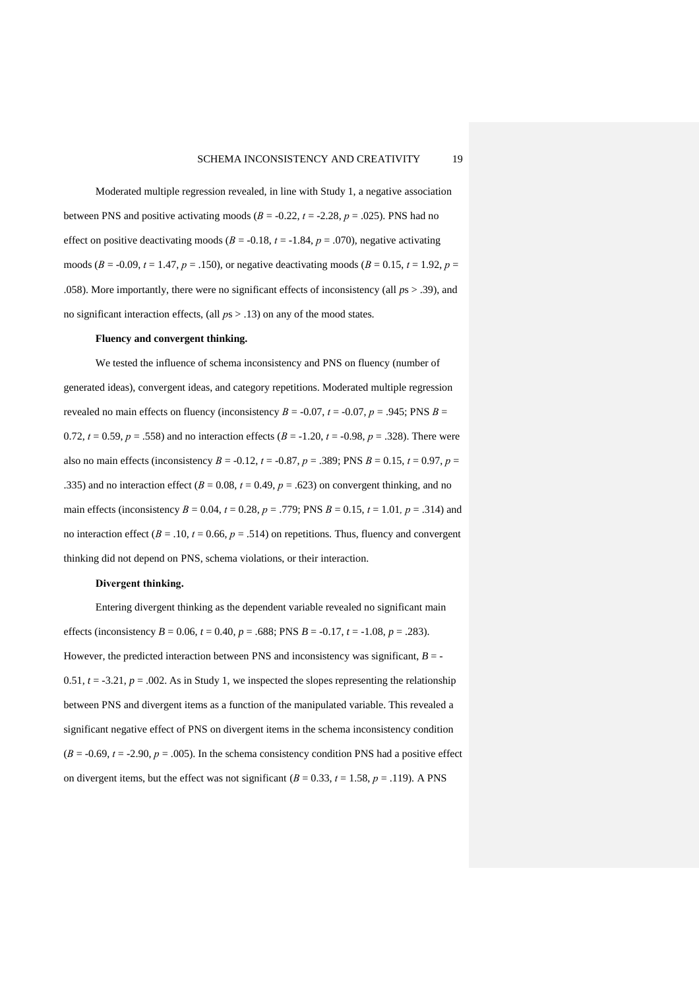Moderated multiple regression revealed, in line with Study 1, a negative association between PNS and positive activating moods  $(B = -0.22, t = -2.28, p = .025)$ . PNS had no effect on positive deactivating moods ( $B = -0.18$ ,  $t = -1.84$ ,  $p = .070$ ), negative activating moods ( $B = -0.09$ ,  $t = 1.47$ ,  $p = .150$ ), or negative deactivating moods ( $B = 0.15$ ,  $t = 1.92$ ,  $p =$ .058). More importantly, there were no significant effects of inconsistency (all *p*s > .39), and no significant interaction effects, (all *p*s > .13) on any of the mood states.

#### **Fluency and convergent thinking.**

We tested the influence of schema inconsistency and PNS on fluency (number of generated ideas), convergent ideas, and category repetitions. Moderated multiple regression revealed no main effects on fluency (inconsistency  $B = -0.07$ ,  $t = -0.07$ ,  $p = .945$ ; PNS  $B =$ 0.72,  $t = 0.59$ ,  $p = .558$ ) and no interaction effects  $(B = -1.20, t = -0.98, p = .328)$ . There were also no main effects (inconsistency *B* = -0.12, *t* = -0.87, *p* = .389; PNS *B* = 0.15, *t* = 0.97, *p* = .335) and no interaction effect  $(B = 0.08, t = 0.49, p = .623)$  on convergent thinking, and no main effects (inconsistency *B* = 0.04, *t* = 0.28, *p* = .779; PNS *B* = 0.15, *t* = 1.01*, p* = .314) and no interaction effect ( $B = .10$ ,  $t = 0.66$ ,  $p = .514$ ) on repetitions. Thus, fluency and convergent thinking did not depend on PNS, schema violations, or their interaction.

## **Divergent thinking.**

Entering divergent thinking as the dependent variable revealed no significant main effects (inconsistency *B* = 0.06, *t* = 0.40, *p* = .688; PNS *B* = -0.17, *t* = -1.08, *p* = .283). However, the predicted interaction between PNS and inconsistency was significant,  $B = -$ 0.51,  $t = -3.21$ ,  $p = .002$ . As in Study 1, we inspected the slopes representing the relationship between PNS and divergent items as a function of the manipulated variable. This revealed a significant negative effect of PNS on divergent items in the schema inconsistency condition  $(B = -0.69, t = -2.90, p = .005)$ . In the schema consistency condition PNS had a positive effect on divergent items, but the effect was not significant ( $B = 0.33$ ,  $t = 1.58$ ,  $p = .119$ ). A PNS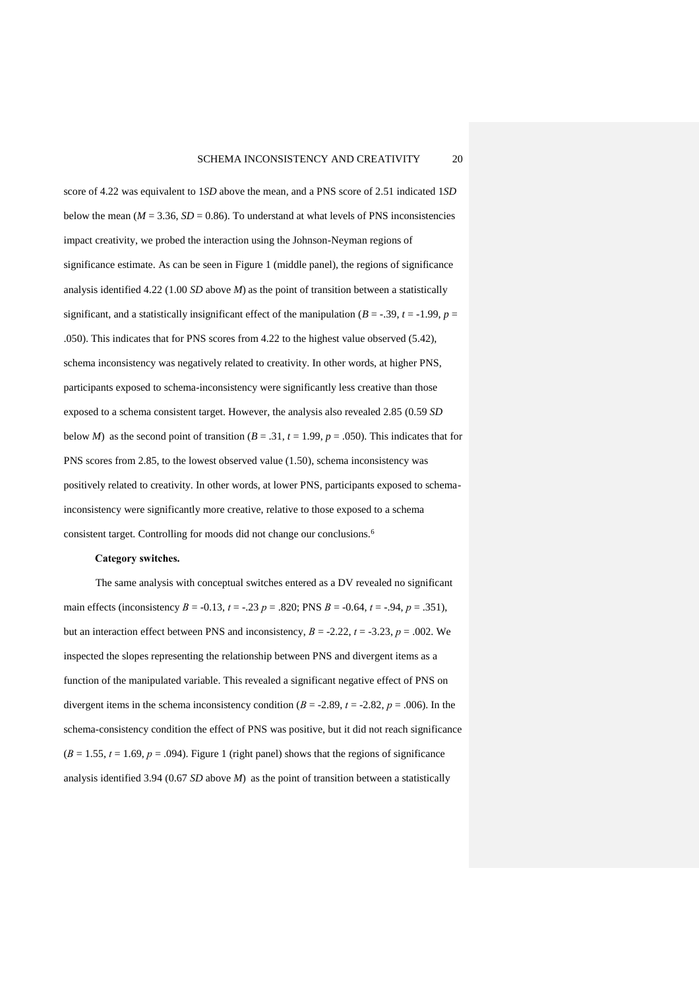score of 4.22 was equivalent to 1*SD* above the mean, and a PNS score of 2.51 indicated 1*SD* below the mean ( $M = 3.36$ ,  $SD = 0.86$ ). To understand at what levels of PNS inconsistencies impact creativity, we probed the interaction using the Johnson-Neyman regions of significance estimate. As can be seen in Figure 1 (middle panel), the regions of significance analysis identified 4.22 (1.00 *SD* above *M*) as the point of transition between a statistically significant, and a statistically insignificant effect of the manipulation ( $B = -.39$ ,  $t = -1.99$ ,  $p =$ .050). This indicates that for PNS scores from 4.22 to the highest value observed (5.42), schema inconsistency was negatively related to creativity. In other words, at higher PNS, participants exposed to schema-inconsistency were significantly less creative than those exposed to a schema consistent target. However, the analysis also revealed 2.85 (0.59 *SD* below *M*) as the second point of transition  $(B = .31, t = 1.99, p = .050)$ . This indicates that for PNS scores from 2.85, to the lowest observed value (1.50), schema inconsistency was positively related to creativity. In other words, at lower PNS, participants exposed to schemainconsistency were significantly more creative, relative to those exposed to a schema consistent target. Controlling for moods did not change our conclusions.<sup>6</sup>

## **Category switches.**

The same analysis with conceptual switches entered as a DV revealed no significant main effects (inconsistency *B* = -0.13, *t* = -.23 *p* = .820; PNS *B* = -0.64, *t* = -.94, *p* = .351), but an interaction effect between PNS and inconsistency,  $B = -2.22$ ,  $t = -3.23$ ,  $p = .002$ . We inspected the slopes representing the relationship between PNS and divergent items as a function of the manipulated variable. This revealed a significant negative effect of PNS on divergent items in the schema inconsistency condition ( $B = -2.89$ ,  $t = -2.82$ ,  $p = .006$ ). In the schema-consistency condition the effect of PNS was positive, but it did not reach significance  $(B = 1.55, t = 1.69, p = .094)$ . Figure 1 (right panel) shows that the regions of significance analysis identified 3.94 (0.67 *SD* above *M*) as the point of transition between a statistically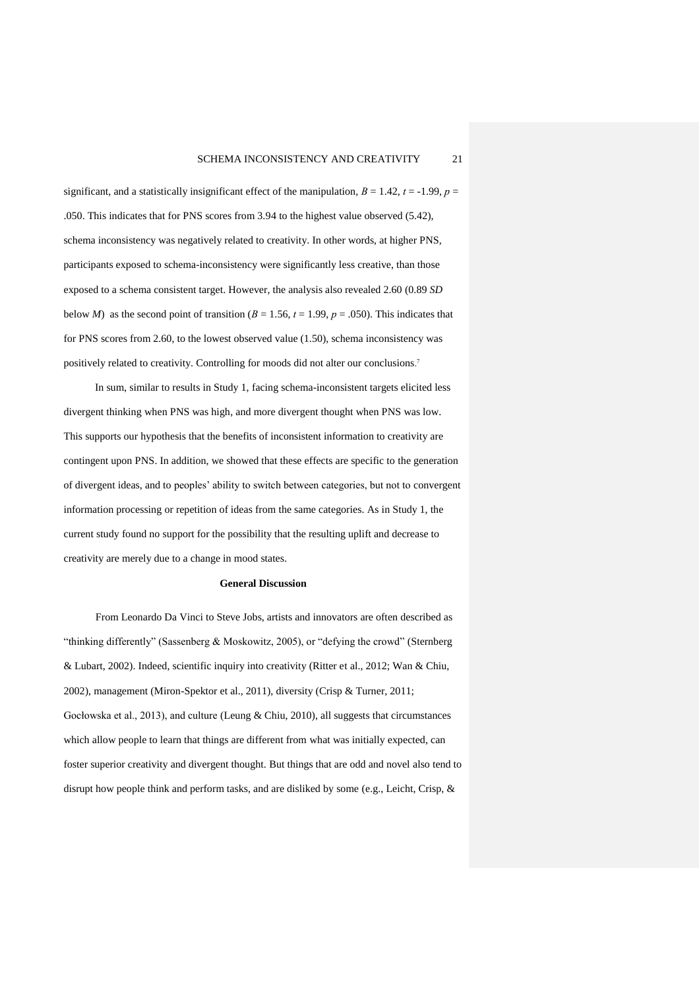significant, and a statistically insignificant effect of the manipulation,  $B = 1.42$ ,  $t = -1.99$ ,  $p =$ .050. This indicates that for PNS scores from 3.94 to the highest value observed (5.42), schema inconsistency was negatively related to creativity. In other words, at higher PNS, participants exposed to schema-inconsistency were significantly less creative, than those exposed to a schema consistent target. However, the analysis also revealed 2.60 (0.89 *SD* below *M*) as the second point of transition ( $B = 1.56$ ,  $t = 1.99$ ,  $p = .050$ ). This indicates that for PNS scores from 2.60, to the lowest observed value (1.50), schema inconsistency was positively related to creativity. Controlling for moods did not alter our conclusions. 7

In sum, similar to results in Study 1, facing schema-inconsistent targets elicited less divergent thinking when PNS was high, and more divergent thought when PNS was low. This supports our hypothesis that the benefits of inconsistent information to creativity are contingent upon PNS. In addition, we showed that these effects are specific to the generation of divergent ideas, and to peoples' ability to switch between categories, but not to convergent information processing or repetition of ideas from the same categories. As in Study 1, the current study found no support for the possibility that the resulting uplift and decrease to creativity are merely due to a change in mood states.

#### **General Discussion**

From Leonardo Da Vinci to Steve Jobs, artists and innovators are often described as "thinking differently" (Sassenberg & Moskowitz, 2005), or "defying the crowd" (Sternberg & Lubart, 2002). Indeed, scientific inquiry into creativity (Ritter et al., 2012; Wan & Chiu, 2002), management (Miron-Spektor et al., 2011), diversity (Crisp & Turner, 2011; Gocłowska et al., 2013), and culture (Leung & Chiu, 2010), all suggests that circumstances which allow people to learn that things are different from what was initially expected, can foster superior creativity and divergent thought. But things that are odd and novel also tend to disrupt how people think and perform tasks, and are disliked by some (e.g., Leicht, Crisp, &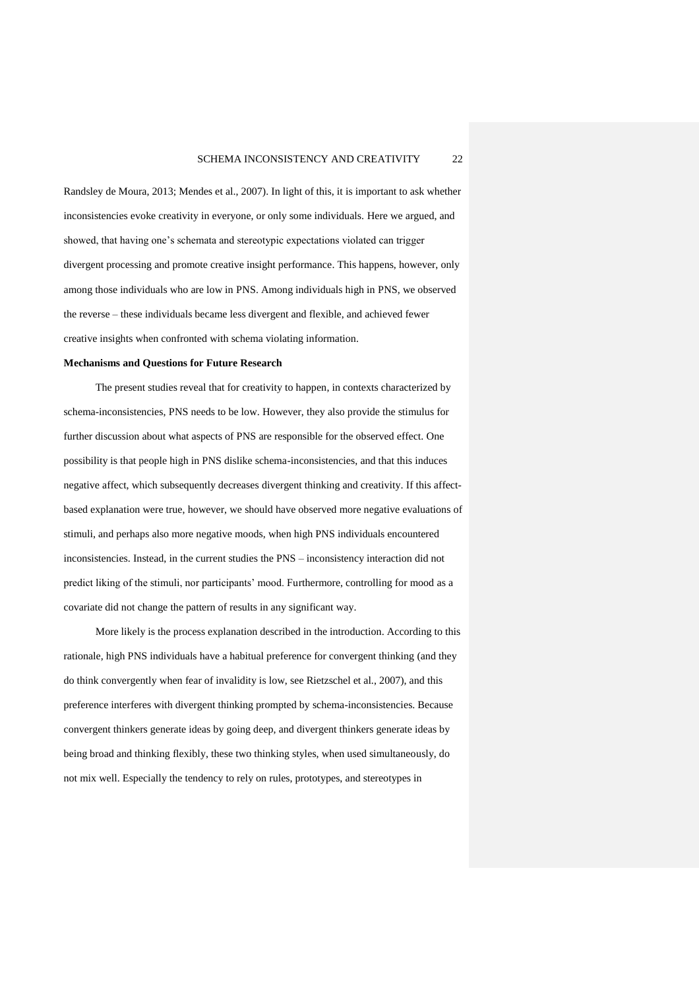Randsley de Moura, 2013; Mendes et al., 2007). In light of this, it is important to ask whether inconsistencies evoke creativity in everyone, or only some individuals. Here we argued, and showed, that having one's schemata and stereotypic expectations violated can trigger divergent processing and promote creative insight performance. This happens, however, only among those individuals who are low in PNS. Among individuals high in PNS, we observed the reverse – these individuals became less divergent and flexible, and achieved fewer creative insights when confronted with schema violating information.

#### **Mechanisms and Questions for Future Research**

The present studies reveal that for creativity to happen, in contexts characterized by schema-inconsistencies, PNS needs to be low. However, they also provide the stimulus for further discussion about what aspects of PNS are responsible for the observed effect. One possibility is that people high in PNS dislike schema-inconsistencies, and that this induces negative affect, which subsequently decreases divergent thinking and creativity. If this affectbased explanation were true, however, we should have observed more negative evaluations of stimuli, and perhaps also more negative moods, when high PNS individuals encountered inconsistencies. Instead, in the current studies the PNS – inconsistency interaction did not predict liking of the stimuli, nor participants' mood. Furthermore, controlling for mood as a covariate did not change the pattern of results in any significant way.

More likely is the process explanation described in the introduction. According to this rationale, high PNS individuals have a habitual preference for convergent thinking (and they do think convergently when fear of invalidity is low, see Rietzschel et al., 2007), and this preference interferes with divergent thinking prompted by schema-inconsistencies. Because convergent thinkers generate ideas by going deep, and divergent thinkers generate ideas by being broad and thinking flexibly, these two thinking styles, when used simultaneously, do not mix well. Especially the tendency to rely on rules, prototypes, and stereotypes in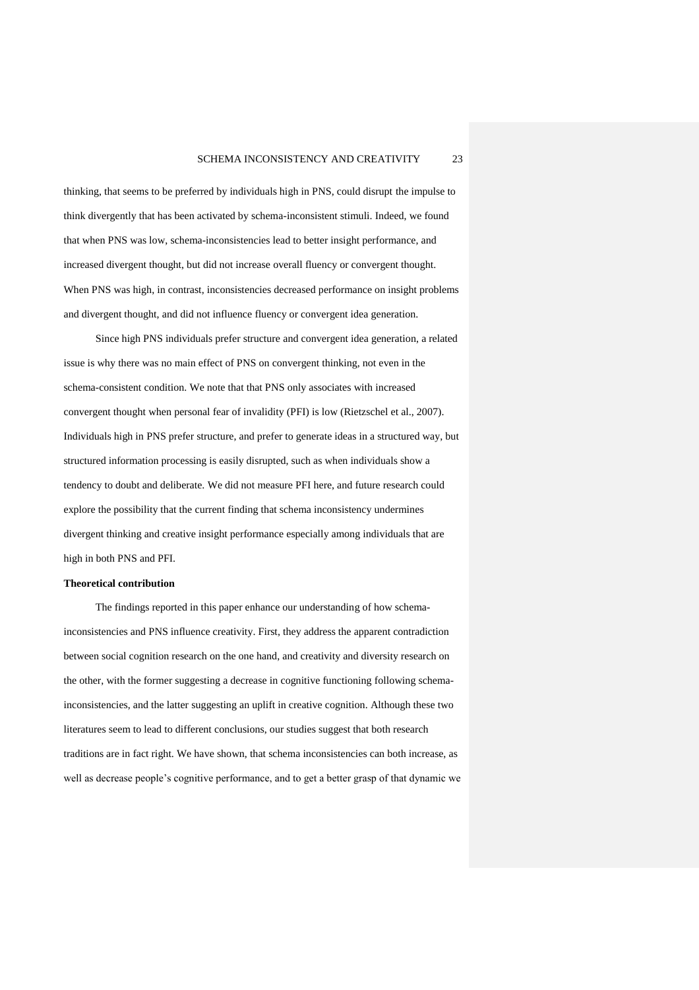thinking, that seems to be preferred by individuals high in PNS, could disrupt the impulse to think divergently that has been activated by schema-inconsistent stimuli. Indeed, we found that when PNS was low, schema-inconsistencies lead to better insight performance, and increased divergent thought, but did not increase overall fluency or convergent thought. When PNS was high, in contrast, inconsistencies decreased performance on insight problems and divergent thought, and did not influence fluency or convergent idea generation.

Since high PNS individuals prefer structure and convergent idea generation, a related issue is why there was no main effect of PNS on convergent thinking, not even in the schema-consistent condition. We note that that PNS only associates with increased convergent thought when personal fear of invalidity (PFI) is low (Rietzschel et al., 2007). Individuals high in PNS prefer structure, and prefer to generate ideas in a structured way, but structured information processing is easily disrupted, such as when individuals show a tendency to doubt and deliberate. We did not measure PFI here, and future research could explore the possibility that the current finding that schema inconsistency undermines divergent thinking and creative insight performance especially among individuals that are high in both PNS and PFI.

#### **Theoretical contribution**

The findings reported in this paper enhance our understanding of how schemainconsistencies and PNS influence creativity. First, they address the apparent contradiction between social cognition research on the one hand, and creativity and diversity research on the other, with the former suggesting a decrease in cognitive functioning following schemainconsistencies, and the latter suggesting an uplift in creative cognition. Although these two literatures seem to lead to different conclusions, our studies suggest that both research traditions are in fact right. We have shown, that schema inconsistencies can both increase, as well as decrease people's cognitive performance, and to get a better grasp of that dynamic we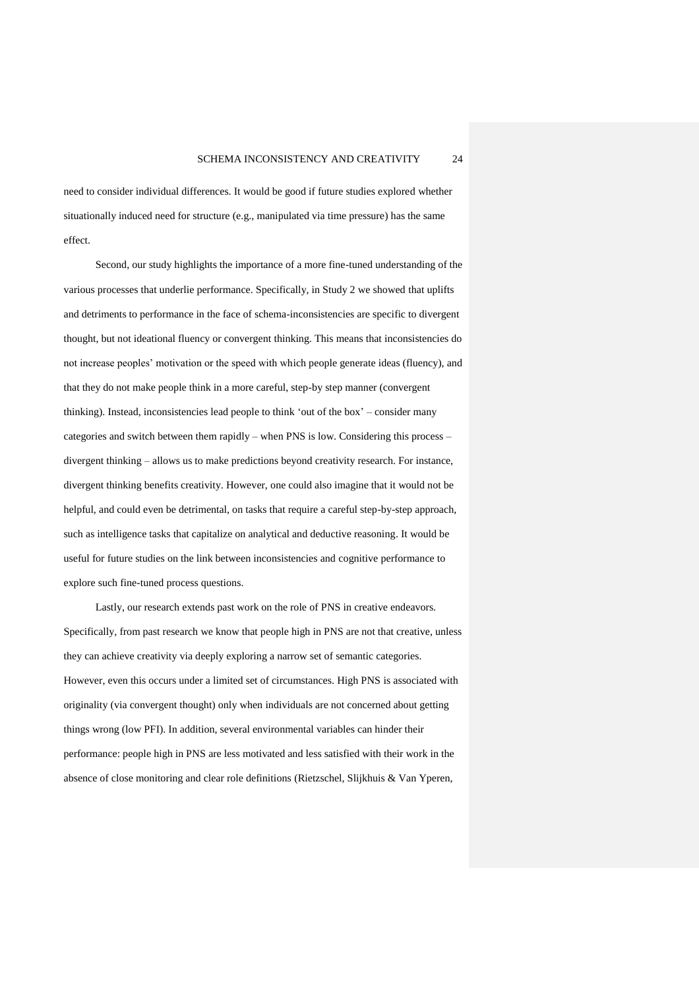need to consider individual differences. It would be good if future studies explored whether situationally induced need for structure (e.g., manipulated via time pressure) has the same effect.

Second, our study highlights the importance of a more fine-tuned understanding of the various processes that underlie performance. Specifically, in Study 2 we showed that uplifts and detriments to performance in the face of schema-inconsistencies are specific to divergent thought, but not ideational fluency or convergent thinking. This means that inconsistencies do not increase peoples' motivation or the speed with which people generate ideas (fluency), and that they do not make people think in a more careful, step-by step manner (convergent thinking). Instead, inconsistencies lead people to think 'out of the box' – consider many categories and switch between them rapidly – when PNS is low. Considering this process – divergent thinking – allows us to make predictions beyond creativity research. For instance, divergent thinking benefits creativity. However, one could also imagine that it would not be helpful, and could even be detrimental, on tasks that require a careful step-by-step approach, such as intelligence tasks that capitalize on analytical and deductive reasoning. It would be useful for future studies on the link between inconsistencies and cognitive performance to explore such fine-tuned process questions.

Lastly, our research extends past work on the role of PNS in creative endeavors. Specifically, from past research we know that people high in PNS are not that creative, unless they can achieve creativity via deeply exploring a narrow set of semantic categories. However, even this occurs under a limited set of circumstances. High PNS is associated with originality (via convergent thought) only when individuals are not concerned about getting things wrong (low PFI). In addition, several environmental variables can hinder their performance: people high in PNS are less motivated and less satisfied with their work in the absence of close monitoring and clear role definitions (Rietzschel, Slijkhuis & Van Yperen,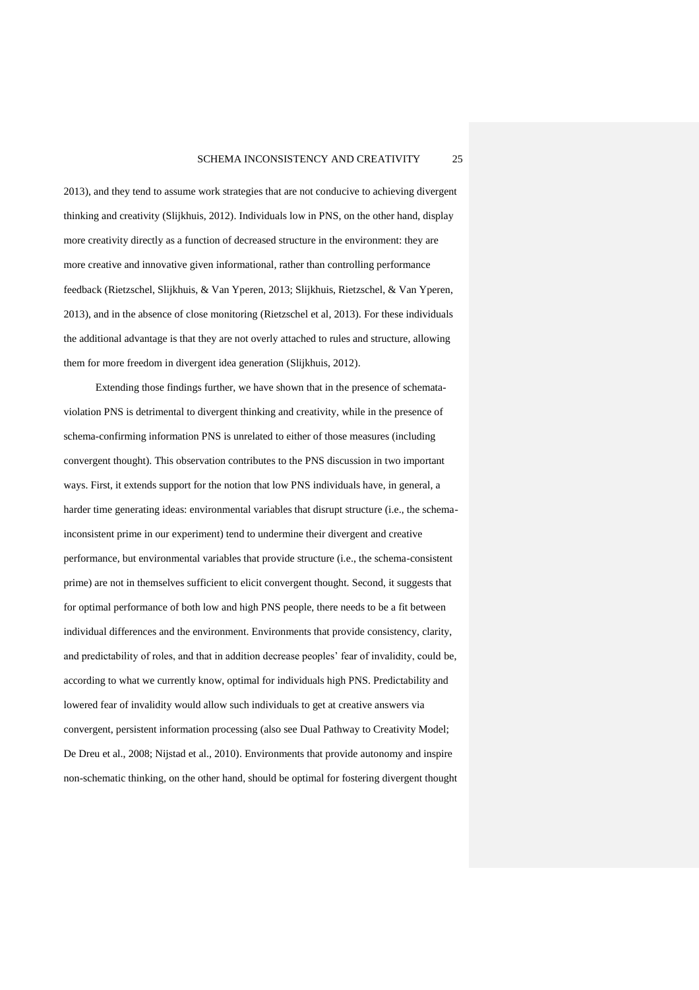2013), and they tend to assume work strategies that are not conducive to achieving divergent thinking and creativity (Slijkhuis, 2012). Individuals low in PNS, on the other hand, display more creativity directly as a function of decreased structure in the environment: they are more creative and innovative given informational, rather than controlling performance feedback (Rietzschel, Slijkhuis, & Van Yperen, 2013; Slijkhuis, Rietzschel, & Van Yperen, 2013), and in the absence of close monitoring (Rietzschel et al, 2013). For these individuals the additional advantage is that they are not overly attached to rules and structure, allowing them for more freedom in divergent idea generation (Slijkhuis, 2012).

Extending those findings further, we have shown that in the presence of schemataviolation PNS is detrimental to divergent thinking and creativity, while in the presence of schema-confirming information PNS is unrelated to either of those measures (including convergent thought). This observation contributes to the PNS discussion in two important ways. First, it extends support for the notion that low PNS individuals have, in general, a harder time generating ideas: environmental variables that disrupt structure (i.e., the schemainconsistent prime in our experiment) tend to undermine their divergent and creative performance, but environmental variables that provide structure (i.e., the schema-consistent prime) are not in themselves sufficient to elicit convergent thought. Second, it suggests that for optimal performance of both low and high PNS people, there needs to be a fit between individual differences and the environment. Environments that provide consistency, clarity, and predictability of roles, and that in addition decrease peoples' fear of invalidity, could be, according to what we currently know, optimal for individuals high PNS. Predictability and lowered fear of invalidity would allow such individuals to get at creative answers via convergent, persistent information processing (also see Dual Pathway to Creativity Model; De Dreu et al., 2008; Nijstad et al., 2010). Environments that provide autonomy and inspire non-schematic thinking, on the other hand, should be optimal for fostering divergent thought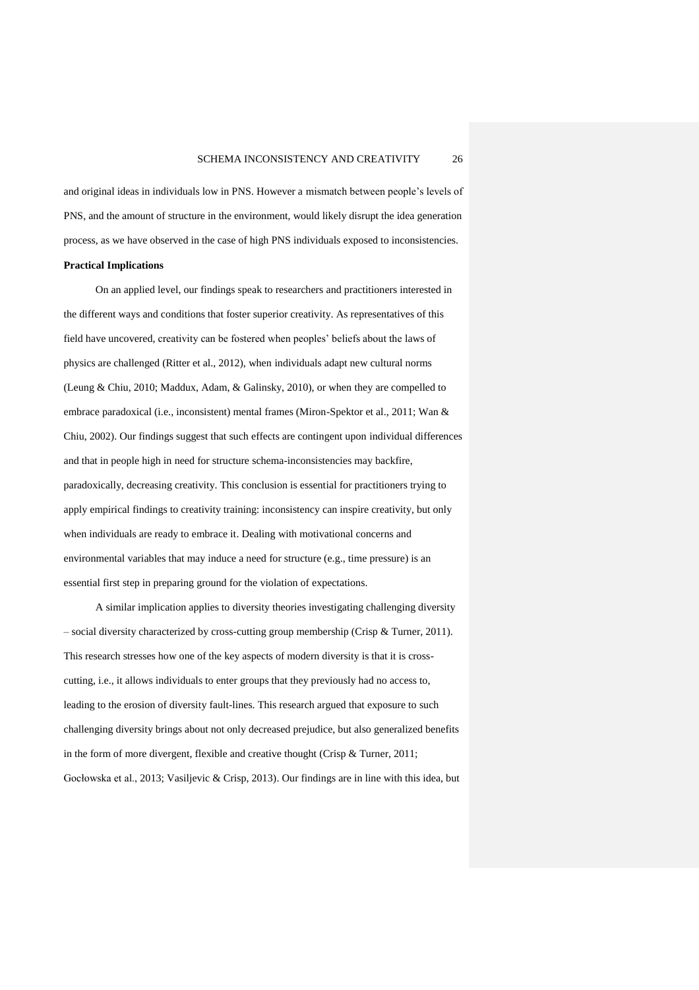and original ideas in individuals low in PNS. However a mismatch between people's levels of PNS, and the amount of structure in the environment, would likely disrupt the idea generation process, as we have observed in the case of high PNS individuals exposed to inconsistencies.

## **Practical Implications**

On an applied level, our findings speak to researchers and practitioners interested in the different ways and conditions that foster superior creativity. As representatives of this field have uncovered, creativity can be fostered when peoples' beliefs about the laws of physics are challenged (Ritter et al., 2012), when individuals adapt new cultural norms (Leung & Chiu, 2010; Maddux, Adam, & Galinsky, 2010), or when they are compelled to embrace paradoxical (i.e., inconsistent) mental frames (Miron-Spektor et al., 2011; Wan & Chiu, 2002). Our findings suggest that such effects are contingent upon individual differences and that in people high in need for structure schema-inconsistencies may backfire, paradoxically, decreasing creativity. This conclusion is essential for practitioners trying to apply empirical findings to creativity training: inconsistency can inspire creativity, but only when individuals are ready to embrace it. Dealing with motivational concerns and environmental variables that may induce a need for structure (e.g., time pressure) is an essential first step in preparing ground for the violation of expectations.

A similar implication applies to diversity theories investigating challenging diversity – social diversity characterized by cross-cutting group membership (Crisp & Turner, 2011). This research stresses how one of the key aspects of modern diversity is that it is crosscutting, i.e., it allows individuals to enter groups that they previously had no access to, leading to the erosion of diversity fault-lines. This research argued that exposure to such challenging diversity brings about not only decreased prejudice, but also generalized benefits in the form of more divergent, flexible and creative thought (Crisp & Turner, 2011; Gocłowska et al., 2013; Vasiljevic & Crisp, 2013). Our findings are in line with this idea, but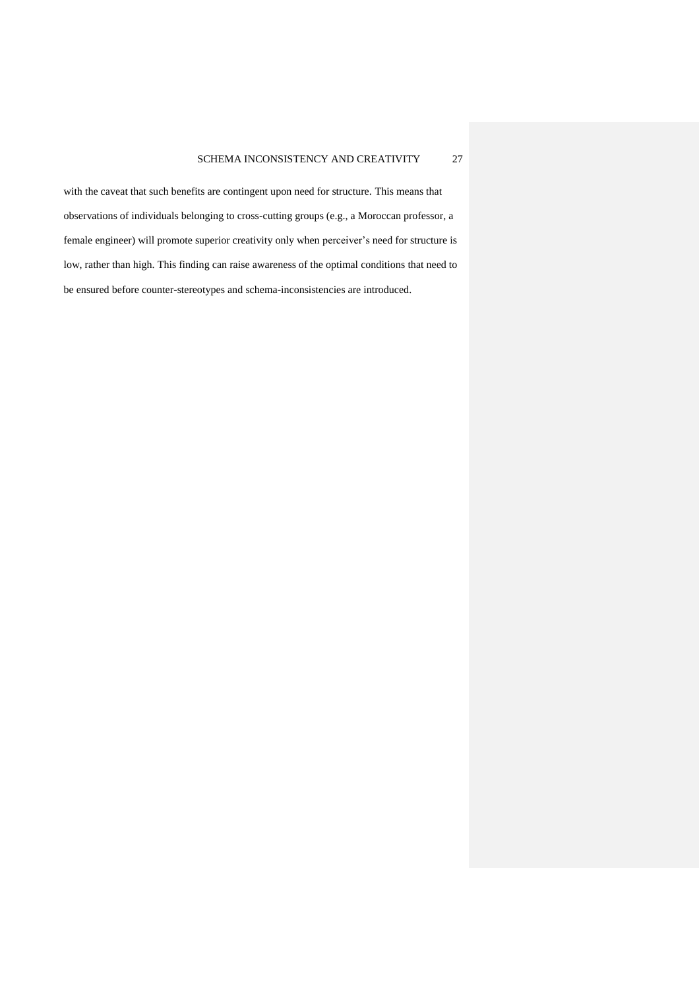with the caveat that such benefits are contingent upon need for structure. This means that observations of individuals belonging to cross-cutting groups (e.g., a Moroccan professor, a female engineer) will promote superior creativity only when perceiver's need for structure is low, rather than high. This finding can raise awareness of the optimal conditions that need to be ensured before counter-stereotypes and schema-inconsistencies are introduced.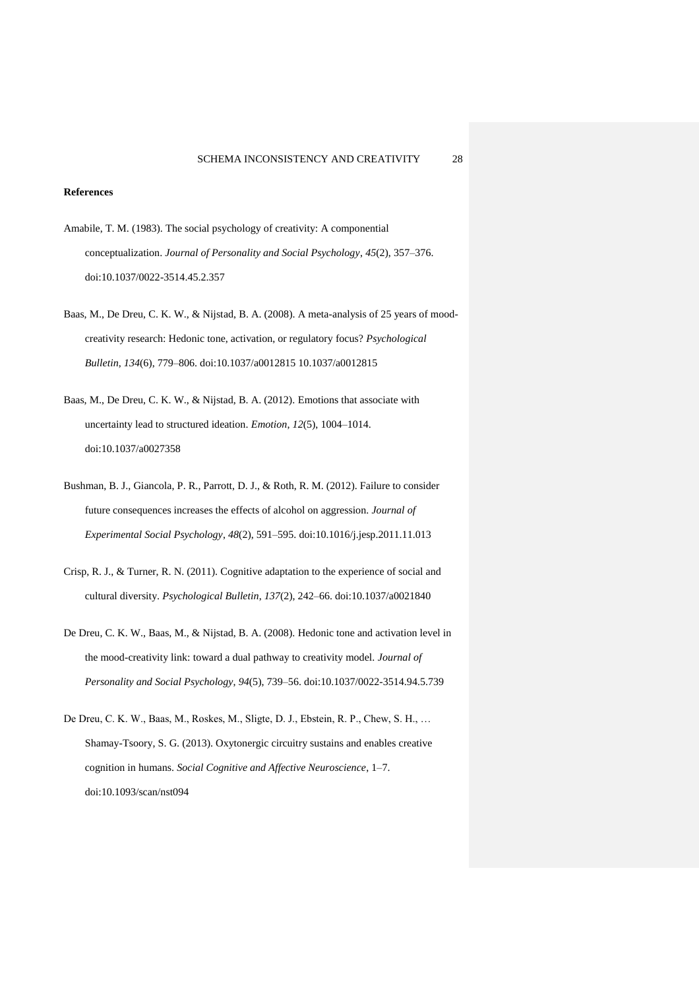## **References**

- Amabile, T. M. (1983). The social psychology of creativity: A componential conceptualization. *Journal of Personality and Social Psychology*, *45*(2), 357–376. doi:10.1037/0022-3514.45.2.357
- Baas, M., De Dreu, C. K. W., & Nijstad, B. A. (2008). A meta-analysis of 25 years of moodcreativity research: Hedonic tone, activation, or regulatory focus? *Psychological Bulletin*, *134*(6), 779–806. doi:10.1037/a0012815 10.1037/a0012815
- Baas, M., De Dreu, C. K. W., & Nijstad, B. A. (2012). Emotions that associate with uncertainty lead to structured ideation. *Emotion*, *12*(5), 1004–1014. doi:10.1037/a0027358
- Bushman, B. J., Giancola, P. R., Parrott, D. J., & Roth, R. M. (2012). Failure to consider future consequences increases the effects of alcohol on aggression. *Journal of Experimental Social Psychology*, *48*(2), 591–595. doi:10.1016/j.jesp.2011.11.013
- Crisp, R. J., & Turner, R. N. (2011). Cognitive adaptation to the experience of social and cultural diversity. *Psychological Bulletin*, *137*(2), 242–66. doi:10.1037/a0021840
- De Dreu, C. K. W., Baas, M., & Nijstad, B. A. (2008). Hedonic tone and activation level in the mood-creativity link: toward a dual pathway to creativity model. *Journal of Personality and Social Psychology*, *94*(5), 739–56. doi:10.1037/0022-3514.94.5.739
- De Dreu, C. K. W., Baas, M., Roskes, M., Sligte, D. J., Ebstein, R. P., Chew, S. H., … Shamay-Tsoory, S. G. (2013). Oxytonergic circuitry sustains and enables creative cognition in humans. *Social Cognitive and Affective Neuroscience*, 1–7. doi:10.1093/scan/nst094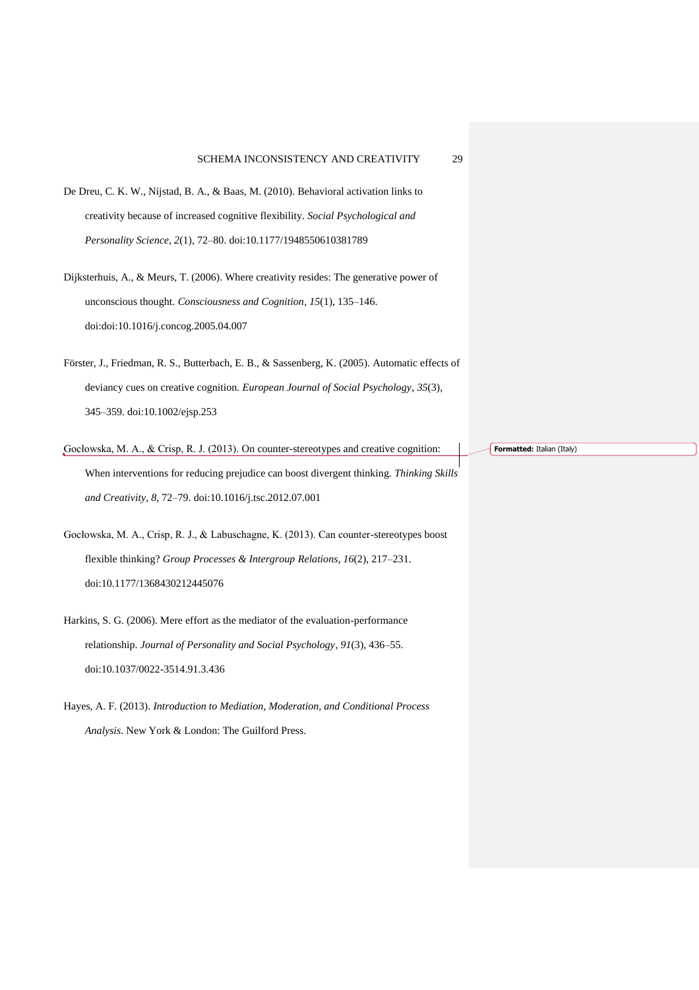- De Dreu, C. K. W., Nijstad, B. A., & Baas, M. (2010). Behavioral activation links to creativity because of increased cognitive flexibility. *Social Psychological and Personality Science*, *2*(1), 72–80. doi:10.1177/1948550610381789
- Dijksterhuis, A., & Meurs, T. (2006). Where creativity resides: The generative power of unconscious thought. *Consciousness and Cognition*, *15*(1), 135–146. doi:doi:10.1016/j.concog.2005.04.007
- Förster, J., Friedman, R. S., Butterbach, E. B., & Sassenberg, K. (2005). Automatic effects of deviancy cues on creative cognition. *European Journal of Social Psychology*, *35*(3), 345–359. doi:10.1002/ejsp.253
- Gocłowska, M. A., & Crisp, R. J. (2013). On counter-stereotypes and creative cognition: When interventions for reducing prejudice can boost divergent thinking. *Thinking Skills and Creativity*, *8*, 72–79. doi:10.1016/j.tsc.2012.07.001
- Gocłowska, M. A., Crisp, R. J., & Labuschagne, K. (2013). Can counter-stereotypes boost flexible thinking? *Group Processes & Intergroup Relations*, *16*(2), 217–231. doi:10.1177/1368430212445076
- Harkins, S. G. (2006). Mere effort as the mediator of the evaluation-performance relationship. *Journal of Personality and Social Psychology*, *91*(3), 436–55. doi:10.1037/0022-3514.91.3.436
- Hayes, A. F. (2013). *Introduction to Mediation, Moderation, and Conditional Process Analysis*. New York & London: The Guilford Press.

**Formatted:** Italian (Italy)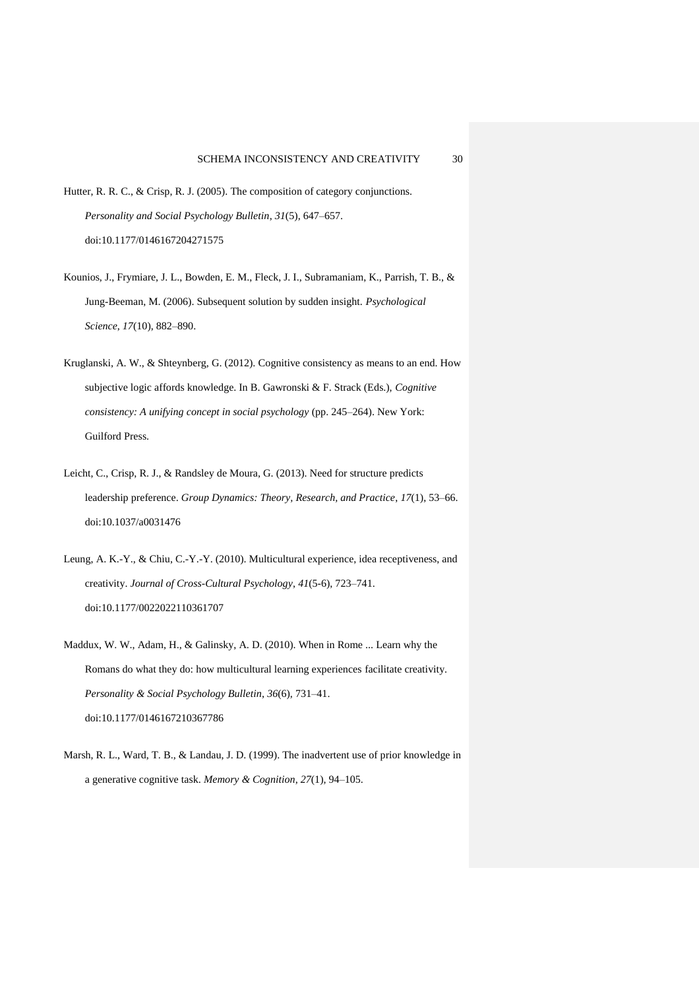- Hutter, R. R. C., & Crisp, R. J. (2005). The composition of category conjunctions. *Personality and Social Psychology Bulletin*, *31*(5), 647–657. doi:10.1177/0146167204271575
- Kounios, J., Frymiare, J. L., Bowden, E. M., Fleck, J. I., Subramaniam, K., Parrish, T. B., & Jung-Beeman, M. (2006). Subsequent solution by sudden insight. *Psychological Science*, *17*(10), 882–890.
- Kruglanski, A. W., & Shteynberg, G. (2012). Cognitive consistency as means to an end. How subjective logic affords knowledge. In B. Gawronski & F. Strack (Eds.), *Cognitive consistency: A unifying concept in social psychology* (pp. 245–264). New York: Guilford Press.
- Leicht, C., Crisp, R. J., & Randsley de Moura, G. (2013). Need for structure predicts leadership preference. *Group Dynamics: Theory, Research, and Practice*, *17*(1), 53–66. doi:10.1037/a0031476
- Leung, A. K.-Y., & Chiu, C.-Y.-Y. (2010). Multicultural experience, idea receptiveness, and creativity. *Journal of Cross-Cultural Psychology*, *41*(5-6), 723–741. doi:10.1177/0022022110361707
- Maddux, W. W., Adam, H., & Galinsky, A. D. (2010). When in Rome ... Learn why the Romans do what they do: how multicultural learning experiences facilitate creativity. *Personality & Social Psychology Bulletin*, *36*(6), 731–41. doi:10.1177/0146167210367786
- Marsh, R. L., Ward, T. B., & Landau, J. D. (1999). The inadvertent use of prior knowledge in a generative cognitive task. *Memory & Cognition*, *27*(1), 94–105.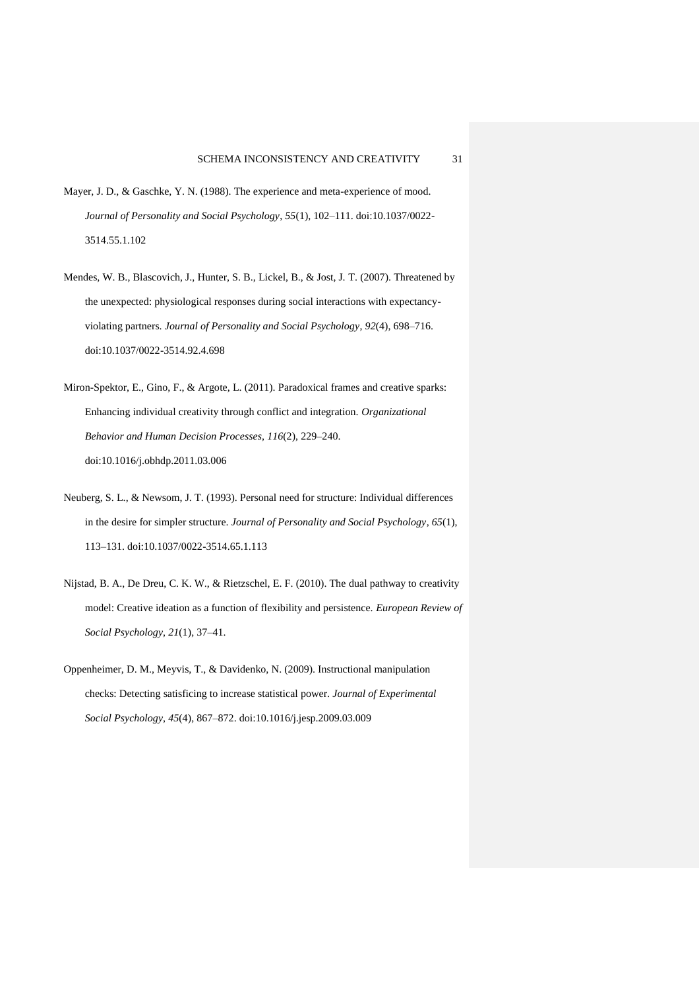- Mayer, J. D., & Gaschke, Y. N. (1988). The experience and meta-experience of mood. *Journal of Personality and Social Psychology*, *55*(1), 102–111. doi:10.1037/0022- 3514.55.1.102
- Mendes, W. B., Blascovich, J., Hunter, S. B., Lickel, B., & Jost, J. T. (2007). Threatened by the unexpected: physiological responses during social interactions with expectancyviolating partners. *Journal of Personality and Social Psychology*, *92*(4), 698–716. doi:10.1037/0022-3514.92.4.698
- Miron-Spektor, E., Gino, F., & Argote, L. (2011). Paradoxical frames and creative sparks: Enhancing individual creativity through conflict and integration. *Organizational Behavior and Human Decision Processes*, *116*(2), 229–240. doi:10.1016/j.obhdp.2011.03.006
- Neuberg, S. L., & Newsom, J. T. (1993). Personal need for structure: Individual differences in the desire for simpler structure. *Journal of Personality and Social Psychology*, *65*(1), 113–131. doi:10.1037/0022-3514.65.1.113
- Nijstad, B. A., De Dreu, C. K. W., & Rietzschel, E. F. (2010). The dual pathway to creativity model: Creative ideation as a function of flexibility and persistence. *European Review of Social Psychology*, *21*(1), 37–41.
- Oppenheimer, D. M., Meyvis, T., & Davidenko, N. (2009). Instructional manipulation checks: Detecting satisficing to increase statistical power. *Journal of Experimental Social Psychology*, *45*(4), 867–872. doi:10.1016/j.jesp.2009.03.009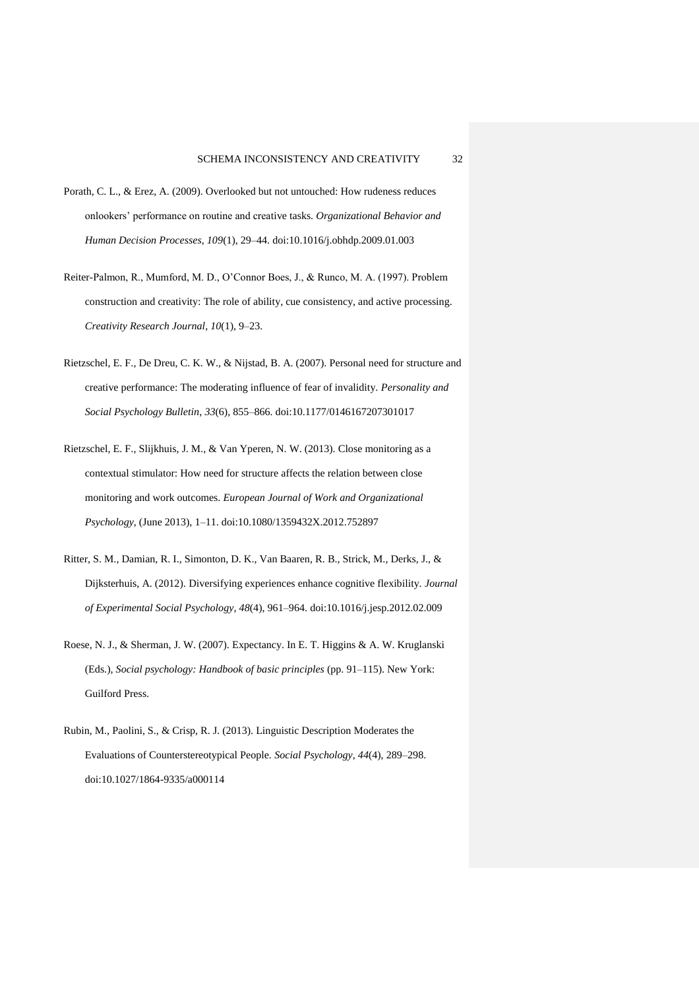- Porath, C. L., & Erez, A. (2009). Overlooked but not untouched: How rudeness reduces onlookers' performance on routine and creative tasks. *Organizational Behavior and Human Decision Processes*, *109*(1), 29–44. doi:10.1016/j.obhdp.2009.01.003
- Reiter-Palmon, R., Mumford, M. D., O'Connor Boes, J., & Runco, M. A. (1997). Problem construction and creativity: The role of ability, cue consistency, and active processing. *Creativity Research Journal*, *10*(1), 9–23.
- Rietzschel, E. F., De Dreu, C. K. W., & Nijstad, B. A. (2007). Personal need for structure and creative performance: The moderating influence of fear of invalidity. *Personality and Social Psychology Bulletin*, *33*(6), 855–866. doi:10.1177/0146167207301017
- Rietzschel, E. F., Slijkhuis, J. M., & Van Yperen, N. W. (2013). Close monitoring as a contextual stimulator: How need for structure affects the relation between close monitoring and work outcomes. *European Journal of Work and Organizational Psychology*, (June 2013), 1–11. doi:10.1080/1359432X.2012.752897
- Ritter, S. M., Damian, R. I., Simonton, D. K., Van Baaren, R. B., Strick, M., Derks, J., & Dijksterhuis, A. (2012). Diversifying experiences enhance cognitive flexibility. *Journal of Experimental Social Psychology*, *48*(4), 961–964. doi:10.1016/j.jesp.2012.02.009
- Roese, N. J., & Sherman, J. W. (2007). Expectancy. In E. T. Higgins & A. W. Kruglanski (Eds.), *Social psychology: Handbook of basic principles* (pp. 91–115). New York: Guilford Press.
- Rubin, M., Paolini, S., & Crisp, R. J. (2013). Linguistic Description Moderates the Evaluations of Counterstereotypical People. *Social Psychology*, *44*(4), 289–298. doi:10.1027/1864-9335/a000114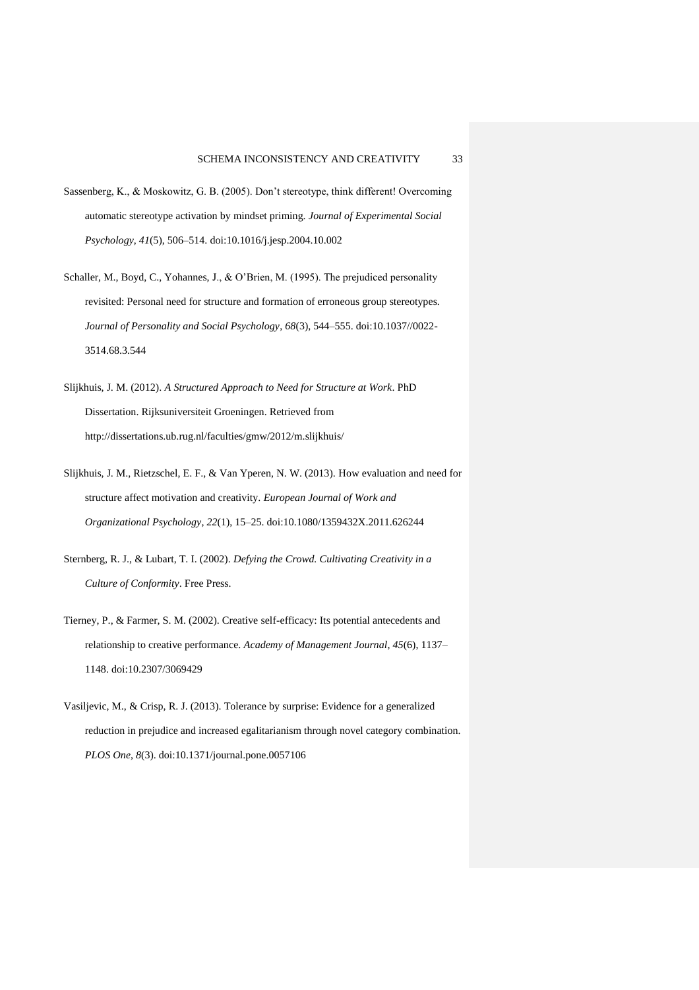- Sassenberg, K., & Moskowitz, G. B. (2005). Don't stereotype, think different! Overcoming automatic stereotype activation by mindset priming. *Journal of Experimental Social Psychology*, *41*(5), 506–514. doi:10.1016/j.jesp.2004.10.002
- Schaller, M., Boyd, C., Yohannes, J., & O'Brien, M. (1995). The prejudiced personality revisited: Personal need for structure and formation of erroneous group stereotypes. *Journal of Personality and Social Psychology*, *68*(3), 544–555. doi:10.1037//0022- 3514.68.3.544
- Slijkhuis, J. M. (2012). *A Structured Approach to Need for Structure at Work*. PhD Dissertation. Rijksuniversiteit Groeningen. Retrieved from http://dissertations.ub.rug.nl/faculties/gmw/2012/m.slijkhuis/
- Slijkhuis, J. M., Rietzschel, E. F., & Van Yperen, N. W. (2013). How evaluation and need for structure affect motivation and creativity. *European Journal of Work and Organizational Psychology*, *22*(1), 15–25. doi:10.1080/1359432X.2011.626244
- Sternberg, R. J., & Lubart, T. I. (2002). *Defying the Crowd. Cultivating Creativity in a Culture of Conformity*. Free Press.
- Tierney, P., & Farmer, S. M. (2002). Creative self-efficacy: Its potential antecedents and relationship to creative performance. *Academy of Management Journal*, *45*(6), 1137– 1148. doi:10.2307/3069429
- Vasiljevic, M., & Crisp, R. J. (2013). Tolerance by surprise: Evidence for a generalized reduction in prejudice and increased egalitarianism through novel category combination. *PLOS One*, *8*(3). doi:10.1371/journal.pone.0057106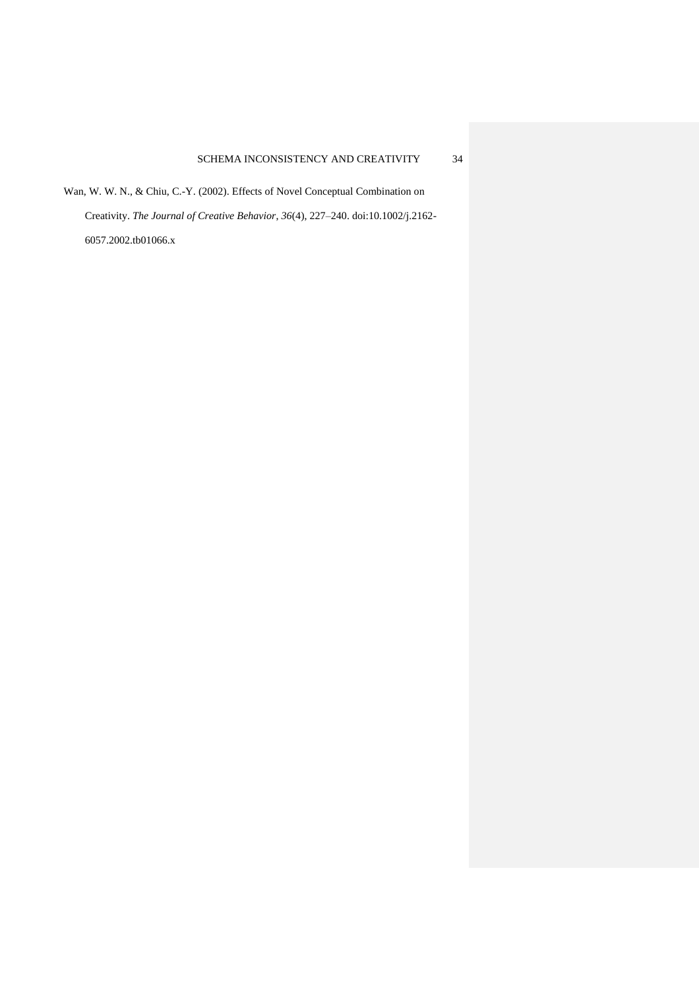Wan, W. W. N., & Chiu, C.-Y. (2002). Effects of Novel Conceptual Combination on Creativity. *The Journal of Creative Behavior*, *36*(4), 227–240. doi:10.1002/j.2162- 6057.2002.tb01066.x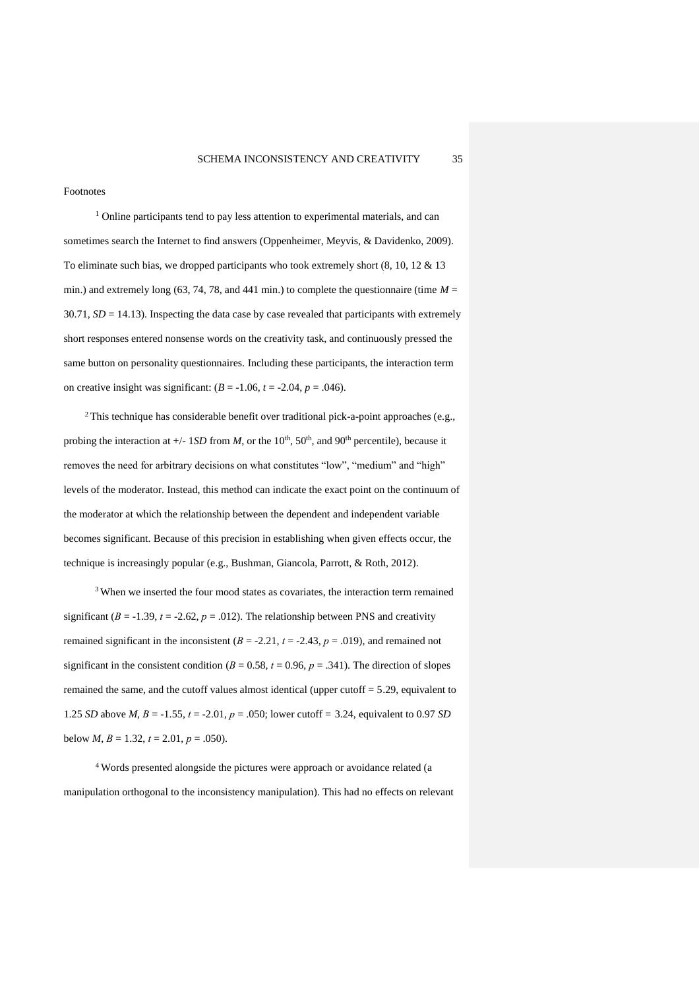Footnotes

<sup>1</sup> Online participants tend to pay less attention to experimental materials, and can sometimes search the Internet to find answers (Oppenheimer, Meyvis, & Davidenko, 2009). To eliminate such bias, we dropped participants who took extremely short (8, 10, 12 & 13 min.) and extremely long (63, 74, 78, and 441 min.) to complete the questionnaire (time  $M =$  $30.71$ ,  $SD = 14.13$ ). Inspecting the data case by case revealed that participants with extremely short responses entered nonsense words on the creativity task, and continuously pressed the same button on personality questionnaires. Including these participants, the interaction term on creative insight was significant:  $(B = -1.06, t = -2.04, p = .046)$ .

<sup>2</sup>This technique has considerable benefit over traditional pick-a-point approaches (e.g., probing the interaction at  $+/- 1SD$  from *M*, or the 10<sup>th</sup>, 50<sup>th</sup>, and 90<sup>th</sup> percentile), because it removes the need for arbitrary decisions on what constitutes "low", "medium" and "high" levels of the moderator. Instead, this method can indicate the exact point on the continuum of the moderator at which the relationship between the dependent and independent variable becomes significant. Because of this precision in establishing when given effects occur, the technique is increasingly popular (e.g., Bushman, Giancola, Parrott, & Roth, 2012).

<sup>3</sup> When we inserted the four mood states as covariates, the interaction term remained significant ( $B = -1.39$ ,  $t = -2.62$ ,  $p = .012$ ). The relationship between PNS and creativity remained significant in the inconsistent  $(B = -2.21, t = -2.43, p = .019)$ , and remained not significant in the consistent condition ( $B = 0.58$ ,  $t = 0.96$ ,  $p = .341$ ). The direction of slopes remained the same, and the cutoff values almost identical (upper cutoff = 5.29, equivalent to 1.25 *SD* above *M*, *B* = -1.55, *t* = -2.01, *p* = .050; lower cutoff = 3.24, equivalent to 0.97 *SD* below *M*,  $B = 1.32$ ,  $t = 2.01$ ,  $p = .050$ ).

<sup>4</sup> Words presented alongside the pictures were approach or avoidance related (a manipulation orthogonal to the inconsistency manipulation). This had no effects on relevant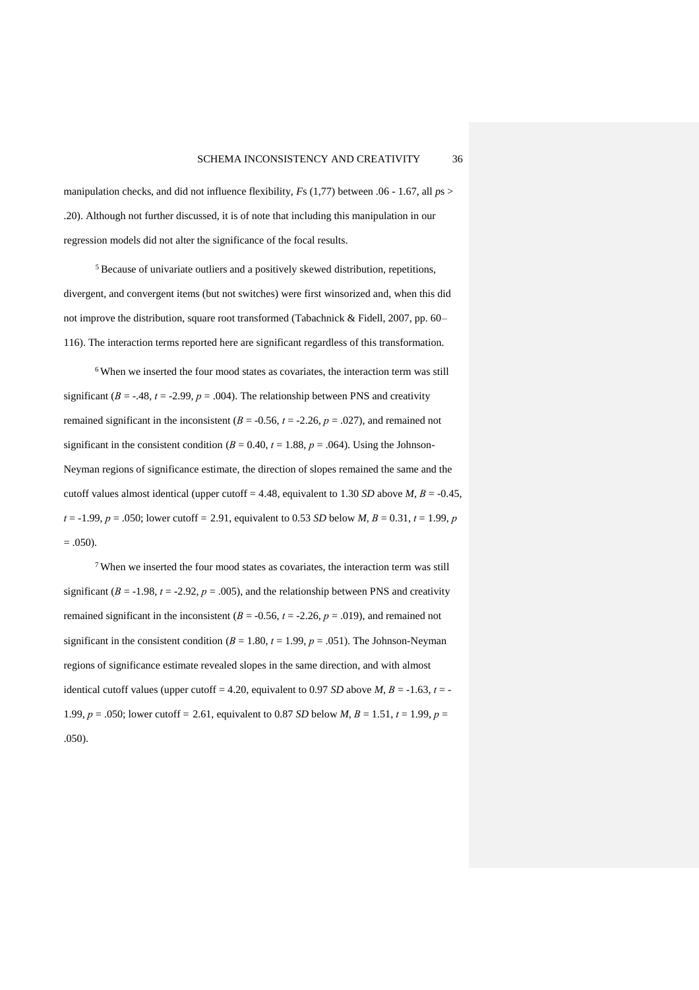manipulation checks, and did not influence flexibility, *F*s (1,77) between .06 - 1.67, all *p*s > .20). Although not further discussed, it is of note that including this manipulation in our regression models did not alter the significance of the focal results.

<sup>5</sup> Because of univariate outliers and a positively skewed distribution, repetitions, divergent, and convergent items (but not switches) were first winsorized and, when this did not improve the distribution, square root transformed (Tabachnick & Fidell, 2007, pp. 60– 116). The interaction terms reported here are significant regardless of this transformation.

<sup>6</sup> When we inserted the four mood states as covariates, the interaction term was still significant ( $B = -0.48$ ,  $t = -2.99$ ,  $p = 0.004$ ). The relationship between PNS and creativity remained significant in the inconsistent ( $B = -0.56$ ,  $t = -2.26$ ,  $p = .027$ ), and remained not significant in the consistent condition ( $B = 0.40$ ,  $t = 1.88$ ,  $p = .064$ ). Using the Johnson-Neyman regions of significance estimate, the direction of slopes remained the same and the cutoff values almost identical (upper cutoff = 4.48, equivalent to 1.30 *SD* above *M*,  $B = -0.45$ ,  $t = -1.99$ ,  $p = .050$ ; lower cutoff = 2.91, equivalent to 0.53 *SD* below *M*,  $B = 0.31$ ,  $t = 1.99$ ,  $p = 0.31$  $= .050$ ).

<sup>7</sup> When we inserted the four mood states as covariates, the interaction term was still significant ( $B = -1.98$ ,  $t = -2.92$ ,  $p = .005$ ), and the relationship between PNS and creativity remained significant in the inconsistent ( $B = -0.56$ ,  $t = -2.26$ ,  $p = .019$ ), and remained not significant in the consistent condition ( $B = 1.80$ ,  $t = 1.99$ ,  $p = .051$ ). The Johnson-Neyman regions of significance estimate revealed slopes in the same direction, and with almost identical cutoff values (upper cutoff = 4.20, equivalent to 0.97 *SD* above *M*,  $B = -1.63$ ,  $t = -1$ 1.99, *p* = .050; lower cutoff = 2.61, equivalent to 0.87 *SD* below *M*, *B* = 1.51, *t* = 1.99, *p* = .050).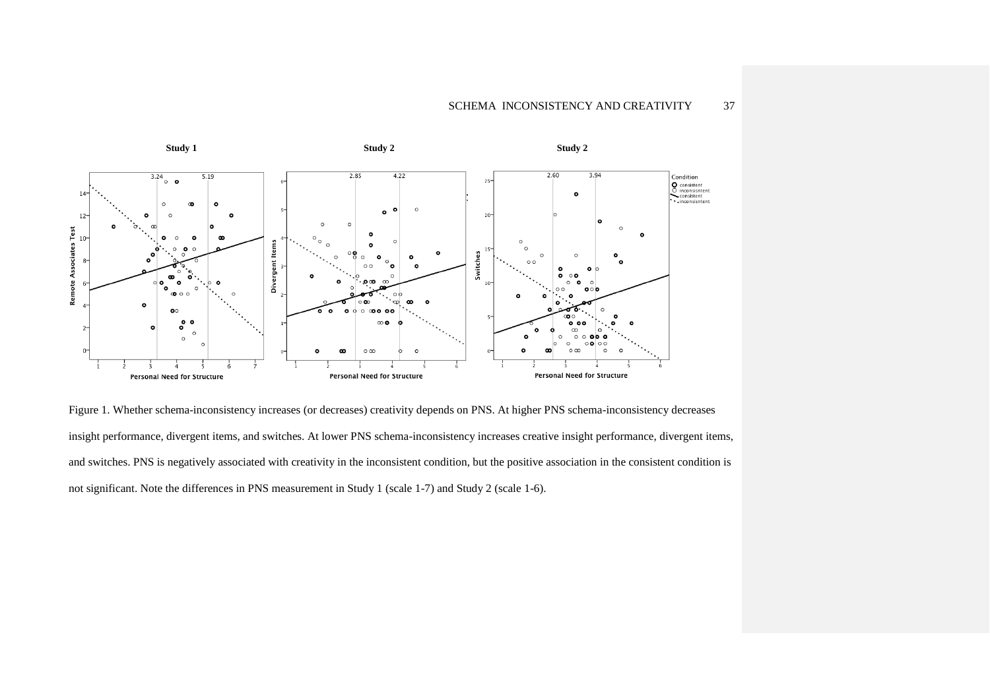

Figure 1. Whether schema-inconsistency increases (or decreases) creativity depends on PNS. At higher PNS schema-inconsistency decreases insight performance, divergent items, and switches. At lower PNS schema-inconsistency increases creative insight performance, divergent items, and switches. PNS is negatively associated with creativity in the inconsistent condition, but the positive association in the consistent condition is not significant. Note the differences in PNS measurement in Study 1 (scale 1-7) and Study 2 (scale 1-6).